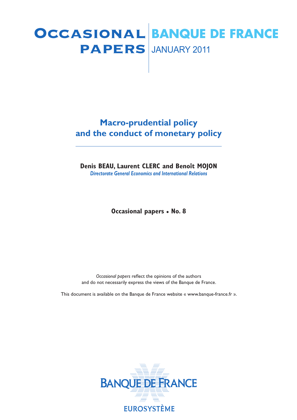# **PAPERS** JANUARY 2011 Occasional **BANQUE DE FRANCE**

# **Macro-prudential policy and the conduct of monetary policy**

**Denis BEAU, Laurent CLERC and Benoît MOJON** *Directorate General Economics and International Relations*

**Occasional papers • No. 8**

*Occasional papers* reflect the opinions of the authors and do not necessarily express the views of the Banque de France.

This document is available on the Banque de France website « www.banque-france.fr ».

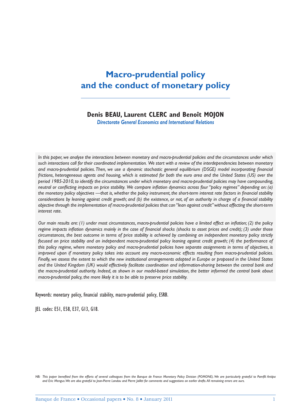# **Macro-prudential policy and the conduct of monetary policy**

### **Denis BEAU, Laurent CLERC and Benoît MOJON**

*Directorate General Economics and International Relations*

*In this paper, we analyse the interactions between monetary and macro-prudential policies and the circumstances under which such interactions call for their coordinated implementation. We start with a review of the interdependencies between monetary*  and macro-prudential policies. Then, we use a dynamic stochastic general equilibrium (DSGE) model incorporating financial *frictions, heterogeneous agents and housing, which is estimated for both the euro area and the United States (US) over the period 1985-2010, to identify the circumstances under which monetary and macro-prudential policies may have compounding, neutral or conflicting impacts on price stability. We compare inflation dynamics across four "policy regimes" depending on: (a)* the monetary policy objectives —that is, whether the policy instrument, the short-term interest rate factors in financial stability considerations by leaning against credit growth; and (b) the existence, or not, of an authority in charge of a financial stability *objective through the implementation of macro-prudential policies that can "lean against credit" without affecting the short-term interest rate.* 

*Our main results are: (1) under most circumstances, macro-prudential policies have a limited effect on inflation; (2) the policy regime impacts inflation dynamics mainly in the case of financial shocks (shocks to asset prices and credit); (3) under those circumstances, the best outcome in terms of price stability is achieved by combining an independent monetary policy strictly focused on price stability and an independent macro-prudential policy leaning against credit growth; (4) the performance of this policy regime, where monetary policy and macro-prudential policies have separate assignments in terms of objectives, is improved upon if monetary policy takes into account any macro-economic effects resulting from macro-prudential policies. Finally, we assess the extent to which the new institutional arrangements adopted in Europe or proposed in the United States and the United Kingdom (UK) would effectively facilitate coordination and information-sharing between the central bank and the macro-prudential authority. Indeed, as shown in our model-based simulation, the better informed the central bank about macro-prudential policy, the more likely it is to be able to preserve price stability.* 

Keywords: monetary policy, financial stability, macro-prudential policy, ESRB.

JEL codes: E51, E58, E37, G13, G18.

*NB*: This paper benefited from the efforts of several colleagues from the Banque de France Monetary Policy Division (POMONE). We are particularly grateful to Pamfili Antipa *and Eric Mengus. We are also grateful to Jean-Pierre Landau and Pierre Jaillet for comments and suggestions on earlier drafts. All remaining errors are ours.*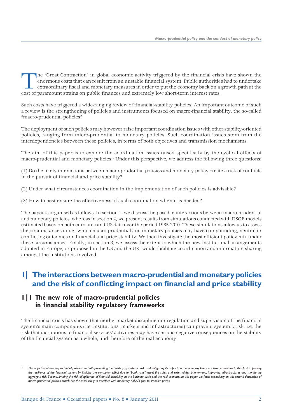The "Great Contraction" in global economic activity triggered by the financial crisis have shown the enormous costs that can result from an unstable financial system. Public authorities had to undertake extraordinary fisca enormous costs that can result from an unstable financial system. Public authorities had to undertake extraordinary fiscal and monetary measures in order to put the economy back on a growth path at the cost of paramount strains on public finances and extremely low short-term interest rates.

Such costs have triggered a wide-ranging review of financial-stability policies. An important outcome of such a review is the strengthening of policies and instruments focused on macro-financial stability, the so-called "macro-prudential policies".

The deployment of such policies may however raise important coordination issues with other stability-oriented policies, ranging from micro-prudential to monetary policies. Such coordination issues stem from the interdependencies between these policies, in terms of both objectives and transmission mechanisms.

The aim of this paper is to explore the coordination issues raised specifically by the cyclical effects of macro-prudential and monetary policies.<sup>1</sup> Under this perspective, we address the following three questions:

(1) Do the likely interactions between macro-prudential policies and monetary policy create a risk of conflicts in the pursuit of financial and price stability?

(2) Under what circumstances coordination in the implementation of such policies is advisable?

(3) How to best ensure the effectiveness of such coordination when it is needed?

The paper is organised as follows. In section 1, we discuss the possible interactions between macro-prudential and monetary policies, whereas in section 2, we present results from simulations conducted with DSGE models estimated based on both euro area and US data over the period 1985-2010. These simulations allow us to assess the circumstances under which macro-prudential and monetary policies may have compounding, neutral or conflicting outcomes on financial and price stability. We then investigate the most efficient policy mix under these circumstances. Finally, in section 3, we assess the extent to which the new institutional arrangements adopted in Europe, or proposed in the US and the UK, would facilitate coordination and information-sharing amongst the institutions involved.

# **1| The interactions between macro-prudential and monetary policies**  and the risk of conflicting impact on financial and price stability

### **1|1 The new role of macro-prudential policies**  in financial stability regulatory frameworks

The financial crisis has shown that neither market discipline nor regulation and supervision of the financial system's main components (i.e. institutions, markets and infrastructures) can prevent systemic risk, i.e. the risk that disruptions to financial services' activities may have serious negative consequences on the stability of the financial system as a whole, and therefore of the real economy.

The objective of macro-prudential policies are both preventing the build-up of systemic risk, and mitigating its impact on the economy. There are two dimensions to this: first, improving *the resilience of the financial system, by limiting the contagion effect due to "bank runs", asset fire sales and externalities phenomena, improving infrastructures and monitoring*  aggregate risk. Second, limiting the risk of spillovers of financial instability on the business cycle and the real economy. In this paper, we focus exclusively on this second dimension of *macro-prudential policies, which are the most likely to interfere with monetary policy's goal to stabilize prices.*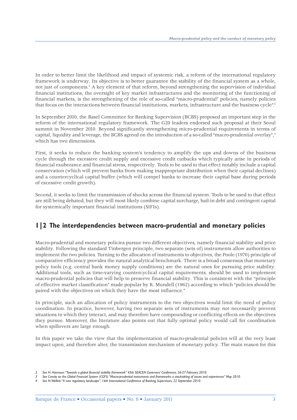In order to better limit the likelihood and impact of systemic risk, a reform of the international regulatory framework is underway. Its objective is to better guarantee the stability of the financial system as a whole, not just of components.<sup>2</sup> A key element of that reform, beyond strengthening the supervision of individual financial institutions, the oversight of key market infrastructures and the monitoring of the functioning of financial markets, is the strengthening of the role of so-called "macro-prudential" policies, namely policies that focus on the interactions between financial institutions, markets, infrastructure and the business cycle".<sup>3</sup>

In September 2010, the Basel Committee for Banking Supervision (BCBS) proposed an important step in the reform of the international regulatory framework. The G20 leaders endorsed such proposal at their Seoul summit in November 2010. Beyond significantly strengthening micro-prudential requirements in terms of capital, liquidity and leverage, the BCBS agreed on the introduction of a so-called "macro-prudential overlay",<sup>4</sup> which has two dimensions.

First, it seeks to reduce the banking system's tendency to amplify the ups and downs of the business cycle through the excessive credit supply and excessive credit cutbacks which typically arise in periods of financial exuberance and financial stress, respectively. Tools to be used to that effect notably include a capital conservation (which will prevent banks from making inappropriate distribution when their capital declines) and a countercyclical capital buffer (which will compel banks to increase their capital base during periods of excessive credit growth).

Second, it seeks to limit the transmission of shocks across the financial system. Tools to be used to that effect are still being debated, but they will most likely combine capital surcharge, bail-in debt and contingent capital for systemically important financial institutions (SIFIs).

# **1|2 The interdependencies between macro-prudential and monetary policies**

Macro-prudential and monetary policies pursue two different objectives, namely financial stability and price stability. Following the standard Tinbergen principle, two separate (sets of) instruments allow authorities to implement the two policies. Turning to the allocation of instruments to objectives, the Poole (1970) principle of comparative efficiency provides the natural analytical benchmark. There is a broad consensus that monetary policy tools (e.g. central bank money supply conditions) are the natural ones for pursuing price stability. Additional tools, such as time-varying countercyclical capital requirements, should be used to implement macro-prudential policies that will help to preserve financial stability. This is consistent with the "principle of effective market classification" made popular by R. Mundell (1962) according to which "policies should be paired with the objectives on which they have the most influence."

In principle, such an allocation of policy instruments to the two objectives would limit the need of policy coordination. In practice, however, having two separate sets of instruments may not necessarily prevent situations in which they interact, and may therefore have compounding or conflicting effects on the objectives they pursue. Moreover, the literature also points out that fully optimal policy would call for coordination when spillovers are large enough.

In this paper we take the view that the implementation of macro-prudential policies will at the very least impact upon, and therefore alter, the transmission mechanism of monetary policy. The main reason for this

*<sup>2</sup> See H. Hannoun: "Towards a global financial stability framework" 45th SEACEN Governors' Conference, 26-27 February 2010.*

*<sup>3</sup> See Comity on the Global Financial System (CGFS) "Macro-prudential instruments and frameworks: a stocktaking of issues and experiences" May 2010.*

*<sup>4</sup> See N. Wellink "A new regulatory landscape", 16th International Conference of Banking Supervisors, 22 September 2010.*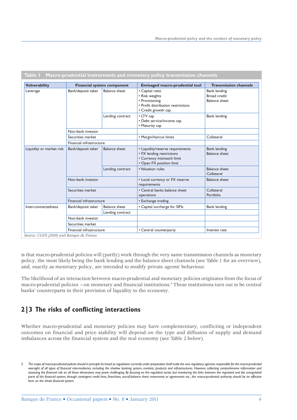| <b>Vulnerability</b>     |                                            | <b>Financial system component</b> | <b>Envisaged macro-prudential tool</b>                                                                                 | <b>Transmission channels</b>                                |  |
|--------------------------|--------------------------------------------|-----------------------------------|------------------------------------------------------------------------------------------------------------------------|-------------------------------------------------------------|--|
| Leverage                 | <b>Balance</b> sheet<br>Bank/deposit taker |                                   | • Capital ratio<br>• Risk weights<br>• Provisioning<br>• Profit distribution restrictions<br>• Credit growth cap       | <b>Bank lending</b><br>Broad credit<br><b>Balance sheet</b> |  |
|                          |                                            | Lending contract                  | • LTV cap<br>• Debt service/income cap<br>• Maturity cap                                                               | <b>Bank lending</b>                                         |  |
|                          | Non-bank investor                          |                                   |                                                                                                                        |                                                             |  |
|                          | Securities market                          |                                   | • Margin/haircut limits                                                                                                | Collateral                                                  |  |
|                          | Financial infrastructure                   |                                   |                                                                                                                        |                                                             |  |
| Liquidity or market risk | Bank/deposit taker                         | <b>Balance sheet</b>              | • Liquidity/reserve requirements<br>• FX lending restrictions<br>• Currency mismatch limit<br>• Open FX position limit | <b>Bank lending</b><br><b>Balance sheet</b>                 |  |
|                          |                                            | Lending contract                  | • Valuation rules                                                                                                      | <b>Balance sheet</b><br>Collateral                          |  |
|                          | Non-bank investor                          |                                   | • Local currency or FX reserve<br>requirements                                                                         | <b>Balance sheet</b>                                        |  |
|                          | Securities market                          |                                   | • Central banks balance sheet<br>operations                                                                            | Collateral<br>Portfolio                                     |  |
|                          | Financial infrastructure                   |                                   | • Exchange trading                                                                                                     |                                                             |  |
| Inter-connectedness      | Bank/deposit taker                         | <b>Balance sheet</b>              | • Capital surcharge for SIFIs                                                                                          | <b>Bank lending</b>                                         |  |
|                          |                                            | Lending contract                  |                                                                                                                        |                                                             |  |
|                          | Non-bank investor                          |                                   |                                                                                                                        |                                                             |  |
|                          | Securities market                          |                                   |                                                                                                                        |                                                             |  |
|                          | Financial infrastructure                   |                                   | • Central counterparty                                                                                                 | Interest rate                                               |  |

*Source: CGFS (2010) and Banque de France*

is that macro-prudential policies will (partly) work through the very same transmission channels as monetary policy, the most likely being the bank lending and the balance sheet channels (see Table 1 for an overview), and, exactly as monetary policy, are intended to modify private agents' behaviour.

The likelihood of an interaction between macro-prudential and monetary policies originates from the focus of macro-prudential policies —on monetary and financial institutions.<sup>5</sup> These institutions turn out to be central banks' counterparts in their provision of liquidity to the economy.

# **2|3 The risks of conflicting interactions**

Whether macro-prudential and monetary policies may have complementary, conflicting or independent outcomes on financial and price stability will depend on the type and diffusion of supply and demand imbalances across the financial system and the real economy (see Table 2 below).

*<sup>5</sup> The scope of macro-prudential policies should in principle be broad as regulations currently under preparation shall make the new regulatory agencies responsible for the macro-prudential oversight of all types of financial intermediaries, including the shadow banking system, markets, products and infrastructures. However, collecting comprehensive information and*  assessing the financial risk on all these dimensions may prove challenging. By focusing on the regulated sector, but monitoring the links between the regulated and the unregulated parts of the financial system, through contingent credit lines, franchises, out-of-balance sheet movements or agreements etc., the macro-prudential authority should be an effective *lever on the whole financial system.*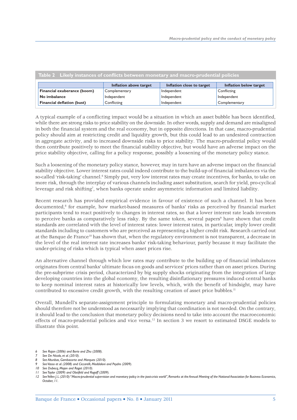| Table 2 Likely instances of conflicts between monetary and macro-prudential policies |                        |                           |                        |  |  |  |  |
|--------------------------------------------------------------------------------------|------------------------|---------------------------|------------------------|--|--|--|--|
|                                                                                      | Inflation above target | Inflation close to target | Inflation below target |  |  |  |  |
| Financial exuberance (boom)                                                          | Complementary          | Independent               | Conflicting            |  |  |  |  |
| No imbalance                                                                         | Independent            | Independent               | Independent            |  |  |  |  |
| <b>Financial deflation (bust)</b>                                                    | Conflicting            | Independent               | Complementary          |  |  |  |  |

A typical example of a conflicting impact would be a situation in which an asset bubble has been identified, while there are strong risks to price stability on the downside. In other words, supply and demand are misaligned in both the financial system and the real economy, but in opposite directions. In that case, macro-prudential policy should aim at restricting credit and liquidity growth, but this could lead to an undesired contraction in aggregate activity, and to increased downside risks to price stability. The macro-prudential policy would then contribute positively to meet the financial stability objective, but would have an adverse impact on the price stability objective, calling for a policy response, possibly a loosening of the monetary policy stance.

Such a loosening of the monetary policy stance, however, may in turn have an adverse impact on the financial stability objective. Lower interest rates could indeed contribute to the build-up of financial imbalances via the so-called 'risk-taking' channel.<sup>6</sup> Simply put, very low interest rates may create incentives, for banks, to take on more risk, through the interplay of various channels including asset substitution, search for yield, pro-cyclical leverage and risk shifting<sup>7</sup>, when banks operate under asymmetric information and limited liability.

Recent research has provided empirical evidence in favour of existence of such a channel. It has been documented,8 for example, how market-based measures of banks' risks as perceived by financial market participants tend to react positively to changes in interest rates, so that a lower interest rate leads investors to perceive banks as comparatively less risky. By the same token, several papers<sup>9</sup> have shown that credit standards are correlated with the level of interest rates: lower interest rates, in particular, imply lower credit standards including to customers who are perceived as representing a higher credit risk. Research carried out at the Banque de France<sup>10</sup> has shown that, when the regulatory environment is not transparent, a decrease in the level of the real interest rate increases banks' risk-taking behaviour, partly because it may facilitate the under-pricing of risks which is typical when asset prices rise.

An alternative channel through which low rates may contribute to the building up of financial imbalances originates from central banks' ultimate focus on goods and services' prices rather than on asset prices. During the pre-subprime crisis period, characterized by big supply shocks originating from the integration of large developing countries into the global economy, the resulting disinflationary pressures induced central banks to keep nominal interest rates at historically low levels, which, with the benefit of hindsight, may have contributed to excessive credit growth, with the resulting creation of asset price bubbles. $11$ 

Overall, Mundell's separate-assignment principle to formulating monetary and macro-prudential policies should therefore not be understood as necessarily implying that coordination is not needed. On the contrary, it should lead to the conclusion that monetary policy decisions need to take into account the macroeconomic effects of macro-prudential policies and vice versa.12 In section 3 we resort to estimated DSGE models to illustrate this point.

- *8 See Altunbas, Gambacorta and Marques (2010).*
- *9 See Vasso et al. (2008) and Ciccarelli, Maddaloni and Peydro (2009).*

*11 See Taylor (2009) and Obstfeld and Rogoff (2009).*

*<sup>6</sup> See Rajan (2006) and Borio and Zhu (2008).*

*<sup>7</sup> See De Nicolo, et al. (2010).*

*<sup>10</sup> See Dubecq, Mojon and Ragot (2010).*

*<sup>12</sup> See Yellen J. L. (2010): "Macro-prudential supervision and monetary policy in the post-crisis world", Remarks at the Annual Meeting of the National Association for Business Economics, October, 11.*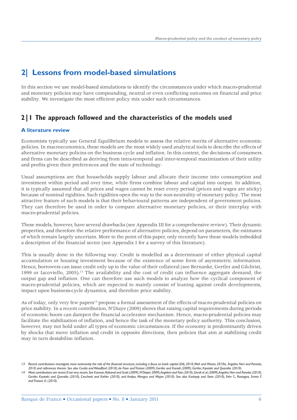# **2| Lessons from model-based simulations**

In this section we use model-based simulations to identify the circumstances under which macro-prudential and monetary policies may have compounding, neutral or even conflicting outcomes on financial and price stability. We investigate the most efficient policy mix under such circumstances.

### **2|1 The approach followed and the characteristics of the models used**

#### **A literature review**

Economists typically use General Equilibrium models to assess the relative merits of alternative economic policies. In macroeconomics, these models are the most widely used analytical tools to describe the effects of alternative monetary policies on the business cycle and inflation. In this context, the decisions of consumers and firms can be described as deriving from intra-temporal and inter-temporal maximization of their utility and profits given their preferences and the state of technology.

Usual assumptions are that households supply labour and allocate their income into consumption and investment within period and over time, while firms combine labour and capital into output. In addition, it is typically assumed that all prices and wages cannot be reset every period (prices and wages are sticky) because of nominal rigidities. Such rigidities open the way to the non-neutrality of monetary policy. The most attractive feature of such models is that their behavioural patterns are independent of government policies. They can therefore be used in order to compare alternative monetary policies, or their interplay with macro-prudential policies.

These models, however, have several drawbacks (see Appendix III for a comprehensive review). Their dynamic properties, and therefore the relative performance of alternative policies, depend on parameters, the estimates of which remain largely uncertain. More to the point of this paper, only recently have these models imbedded a description of the financial sector (see Appendix I for a survey of this literature).

This is usually done in the following way. Credit is modelled as a determinant of either physical capital accumulation or housing investment because of the existence of some form of asymmetric information. Hence, borrowers can issue credit only up to the value of their collateral (see Bernanke, Gertler and Gilchrist, 1999 or Iacoviello, 2005).13 The availability and the cost of credit can influence aggregate demand, the output gap and inflation. One can therefore use such models to analyze how the cyclical component of macro-prudential policies, which are expected to mainly consist of leaning against credit developments, impact upon business-cycle dynamics, and therefore price stability.

As of today, only very few papers<sup>14</sup> propose a formal assessment of the effects of macro-prudential policies on price stability. In a recent contribution, N'Diaye (2009) shows that raising capital requirements during periods of economic boom can dampen the financial accelerator mechanism. Hence, macro-prudential policies may facilitate the stabilization of inflation, and hence the task of the monetary policy authority. This conclusion, however, may not hold under all types of economic circumstances. If the economy is predominantly driven by shocks that move inflation and credit in opposite directions, then policies that aim at stabilizing credit may in turn destabilize inflation.

*<sup>13</sup> Recent contributions investigate more extensively the role of the financial structure, including a focus on bank capital (Dib, 2010; Meh and Moran, 2010a; Angelini, Neri and Panetta, 2010, and references therein. See also Curdia and Woodford (2010); de Fiore and Tristani (2009); Gertler and Karadi (2009); Gertler, Kiyotaki and Queralto (2010).*

*<sup>14</sup> Most contributions are recent if not very recent. See Kannan, Rabanal and Scott (2009), N'Diaye( 2009), Angeloni and Faia (2010), Gerali et al. (2009), Angelini, Neri and Panetta (2010),*  Gertler, Kiyotaki and Queralto (2010), Cecchetti and Kohler (2010), and Antipa, Mengus and Mojon (2010). See also Kashyap and Stein (2010), Fahr S., Rostagno, Smets F. *and Tristani O. (2010).*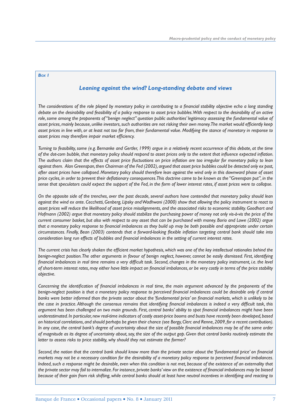#### *BOX 1*

#### *Leaning against the wind? Long-standing debate and views*

The considerations of the role played by monetary policy in contributing to a financial stability objective echo a long standing *debate on the desirability and feasibility of a policy response to asset price bubbles. With respect to the desirability of an active role, some among the proponents of "benign neglect" question public authorities' legitimacy assessing the fundamental value of asset prices, mainly because, unlike investors, such authorities are not risking their own money. The market would efficiently keep asset prices in line with, or at least not too far from, their fundamental value. Modifying the stance of monetary in response to*  asset prices may therefore impair market efficiency.

*Turning to feasibility, some (e.g. Bernanke and Gertler, 1999) argue in a relatively recent occurrence of this debate, at the time*  of the dot-com bubble, that monetary policy should respond to asset prices only to the extent that influence expected inflation. The authors claim that the effects of asset price fluctuations on price inflation are too irregular for monetary policy to lean *against them. Alan Greenspan, then Chairman of the Fed (2002), argued that asset price bubbles could be detected only ex post, after asset prices have collapsed. Monetary policy should therefore lean against the wind only in this downward phase of asset price cycles, in order to prevent their defl ationary consequences. This doctrine came to be known as the "Greenspan put", in the sense that speculators could expect the support of the Fed, in the form of lower interest rates, if asset prices were to collapse.*

*On the opposite side of the trenches, over the past decade, several authors have contended that monetary policy should lean against the wind ex ante. Cecchetti, Genberg, Lipsky and Wadhwani (2000) show that allowing the policy instrument to react to asset prices will reduce the likelihood of asset price misalignments, and the associated risks to economic stability. Goodhart and Hofmann (2002) argue that monetary policy should stabilize the purchasing power of money not only vis-à-vis the price of the current consumer basket, but also with respect to any asset that can be purchased with money. Borio and Lowe (2002) argue*  that a monetary policy response to financial imbalances as they build up may be both possible and appropriate under certain circumstances. Finally, Bean (2003) contends that a forward-looking flexible inflation targeting central bank should take into *consideration long run effects of bubbles and financial imbalances in the setting of current interest rates.* 

The current crisis has clearly shaken the efficient market hypothesis, which was one of the key intellectual rationales behind the *benign-neglect position. The other arguments in favour of benign neglect, however, cannot be easily dismissed. First, identifying*  financial imbalances in real time remains a very difficult task. Second, changes in the monetary policy instrument, i.e. the level of short-term interest rates, may either have little impact on financial imbalances, or be very costly in terms of the price stability *objective.*

Concerning the identification of financial imbalances in real time, the main argument advanced by the proponents of the benign-neglect position is that a monetary policy response to perceived financial imbalances could be desirable only if central banks were better informed than the private sector about the 'fundamental price' on financial markets, which is unlikely to be the case in practice. Although the consensus remains that identifying financial imbalances is indeed a very difficult task, this argument has been challenged on two main grounds. First, central banks' ability to spot financial imbalances might have been *underestimated. In particular, new real-time indicators of costly asset-price booms and busts have recently been developed, based on historical correlations, and should perhaps be given their chance (see Borgy, Clerc and Renne, 2009, for a recent contribution). In any case, the central bank's degree of uncertainty about the size of possible financial imbalances may be of the same order of magnitude as its degree of uncertainty about, say, the size of the output gap. Given that central banks routinely estimate the latter to assess risks to price stability, why should they not estimate the former?*

Second, the notion that the central bank should know more than the private sector about the 'fundamental price' on financial *markets may not be a necessary condition for the desirability of a monetary policy response to perceived financial imbalances. Indeed, such a response might be desirable, even when this condition is not met, because of the existence of an externality that*  the private sector may fail to internalize. For instance, private banks' view on the existence of financial imbalances may be biased *because of their gain from risk shifting, while central banks should at least have neutral incentives in identifying and reacting to*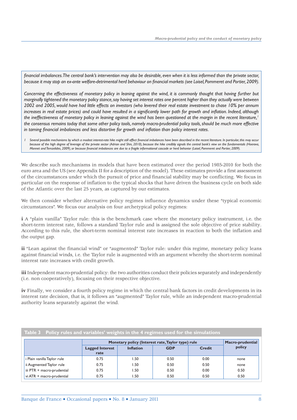financial imbalances. The central bank's intervention may also be desirable, even when it is less informed than the private sector, because it may stop an ex-ante welfare-detrimental herd behaviour on financial markets (see Loisel, Pommeret and Portier, 2009).

*Concerning the effectiveness of monetary policy in leaning against the wind, it is commonly thought that having further but marginally tightened the monetary policy stance, say having set interest rates one percent higher than they actually were between 2002 and 2005, would have had little effects on investors (who levered their real estate investment to chase 10% per annum*  increases in real estate prices) and could have resulted in a significantly lower path for growth and inflation. Indeed, although the ineffectiveness of monetary policy in leaning against the wind has been questioned at the margin in the recent literature,<sup>1</sup> *the consensus remains today that some other policy tools, namely macro-prudential policy tools, should be much more effective in taming financial imbalances and less distortive for growth and inflation than policy interest rates.* 

Several possible mechanisms by which a modest interest-rate hike might still affect financial imbalances have been described in the recent literature. In particular, this may occur *because of the high degree of leverage of the private sector (Adrian and Shin, 2010), because the hike credibly signals the central bank's view on the fundamentals (Hoerova, Monnet and Temzelides, 2009), or because fi nancial imbalances are due to a fragile informational cascade or herd behavior (Loisel, Pommeret and Portier, 2009).*

We describe such mechanisms in models that have been estimated over the period 1985-2010 for both the euro area and the US (see Appendix II for a description of the model). These estimates provide a first assessment of the circumstances under which the pursuit of price and financial stability may be conflicting. We focus in particular on the response of inflation to the typical shocks that have driven the business cycle on both side of the Atlantic over the last 25 years, as captured by our estimates.

We then consider whether alternative policy regimes influence dynamics under these "typical economic circumstances". We focus our analysis on four archetypical policy regimes:

**i** A "plain vanilla" Taylor rule: this is the benchmark case where the monetary policy instrument, i.e. the short-term interest rate, follows a standard Taylor rule and is assigned the sole objective of price stability. According to this rule, the short-term nominal interest rate increases in reaction to both the inflation and the output gap.

**ii** "Lean against the financial wind" or "augmented" Taylor rule: under this regime, monetary policy leans against financial winds, i.e. the Taylor rule is augmented with an argument whereby the short-term nominal interest rate increases with credit growth.

**iii** Independent macro-prudential policy: the two authorities conduct their policies separately and independently (i.e. non cooperatively), focusing on their respective objective.

**iv** Finally, we consider a fourth policy regime in which the central bank factors in credit developments in its interest rate decision, that is, it follows an "augmented" Taylor rule, while an independent macro-prudential authority leans separately against the wind.

| Table 3 Policy rules and variables' weights in the 4 regimes used for the simulations |                                |                                                                       |            |               |        |  |  |  |  |  |
|---------------------------------------------------------------------------------------|--------------------------------|-----------------------------------------------------------------------|------------|---------------|--------|--|--|--|--|--|
|                                                                                       |                                | Monetary policy (Interest rate, Taylor type) rule<br>Macro-prudential |            |               |        |  |  |  |  |  |
|                                                                                       | <b>Lagged Interest</b><br>rate | <b>Inflation</b>                                                      | <b>GDP</b> | <b>Credit</b> | policy |  |  |  |  |  |
| i Plain vanilla Taylor rule                                                           | 0.75                           | .50                                                                   | 0.50       | 0.00          | none   |  |  |  |  |  |
| ii Augmented Taylor rule                                                              | 0.75                           | .50                                                                   | 0.50       | 0.50          | none   |  |  |  |  |  |
| iii PTR + macro-prudential                                                            | 0.75                           | .50                                                                   | 0.50       | 0.00          | 0.50   |  |  |  |  |  |
| vi ATR + macro-prudential                                                             | 0.75                           | .50                                                                   | 0.50       | 0.50          | 0.50   |  |  |  |  |  |

**Table 3 Policy rules and variables' weights in the 4 regimes used for the simulations**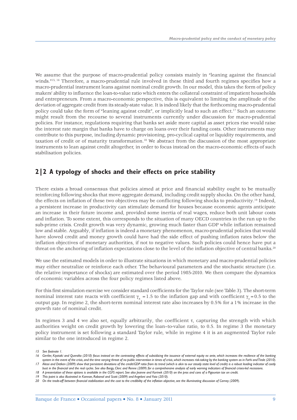We assume that the purpose of macro-prudential policy consists mainly in "leaning against the financial winds."<sup>15, 16</sup> Therefore, a macro-prudential rule involved in these third and fourth regimes specifies how a macro-prudential instrument leans against nominal credit growth. In our model, this takes the form of policy makers' ability to influence the loan-to-value ratio which enters the collateral constraint of impatient households and entrepreneurs. From a macro-economic perspective, this is equivalent to limiting the amplitude of the deviation of aggregate credit from its steady-state value. It is indeed likely that the forthcoming macro-prudential policy could take the form of "leaning against credit", or implicitly lead to such an effect.17 Such an outcome might result from the recourse to several instruments currently under discussion for macro-prudential policies. For instance, regulations requiring that banks set aside more capital as asset prices rise would raise the interest rate margin that banks have to charge on loans over their funding costs. Other instruments may contribute to this purpose, including dynamic provisioning, pro-cyclical capital or liquidity requirements, and taxation of credit or of maturity transformation.18 We abstract from the discussion of the most appropriate instruments to lean against credit altogether, in order to focus instead on the macro-economic effects of such stabilisation policies.

### **2|2 A typology of shocks and their effects on price stability**

There exists a broad consensus that policies aimed at price and financial stability ought to be mutually reinforcing following shocks that move aggregate demand, including credit supply shocks. On the other hand, the effects on inflation of these two objectives may be conflicting following shocks to productivity.19 Indeed, a persistent increase in productivity can stimulate demand for houses because economic agents anticipate an increase in their future income and, provided some inertia of real wages, reduce both unit labour costs and inflation. To some extent, this corresponds to the situation of many OECD countries in the run up to the sub-prime crisis. Credit growth was very dynamic, growing much faster than GDP while inflation remained low and stable. Arguably, if inflation is indeed a monetary phenomenon, macro-prudential policies that would have slowed credit and money growth could have had the side effect of pushing inflation rates below the inflation objectives of monetary authorities, if not to negative values. Such policies could hence have put a threat on the anchoring of inflation expectations close to the level of the inflation objective of central banks.<sup>20</sup>

We use the estimated models in order to illustrate situations in which monetary and macro-prudential policies may either neutralize or reinforce each other. The behavioural parameters and the stochastic structure (i.e. the relative importance of shocks) are estimated over the period 1985-2010. We then compare the dynamics of economic variables across the four policy regimes listed above.

For this first simulation exercise we consider standard coefficients for the Taylor rule (see Table 3). The short-term nominal interest rate reacts with coefficient  $\gamma_{\pi} = 1.5$  to the inflation gap and with coefficient  $\gamma_y = 0.5$  to the output gap. In regime 2, the short-term nominal interest rate also increases by 0.5% for a 1% increase in the growth rate of nominal credit.

In regimes 3 and 4 we also set, equally arbitrarily, the coefficient  $\tau$ , capturing the strength with which authorities weight on credit growth by lowering the loan–to-value ratio, to 0.5. In regime 3 the monetary policy instrument is set following a standard Taylor rule, while in regime 4 it is an augmented Taylor rule similar to the one introduced in regime 2.

*<sup>15</sup> See footnote 1.*

<sup>16</sup> Gertler, Kiyotaki and Queralto (2010) focus instead on the contrasting effects of subsidizing the issuance of external equity ex ante, which increases the resilience of the banking system in the event of the crisis, and the time varying threat of no public intervention in times of crisis, which increases risk-taking by the banking system as in Farhi and Tirole (2010). *17 Alessi and Detken (2009) show that persistent deviations of the credit/GDP ratio from its trend (which is akin to our steady state level of credit) is a robust leading indicator of costly* 

*bust in the financial and the real cycles. See also Borgy, Clerc and Renne (2009) for a comprehensive analysis of early warning indicators of financial crises-led recessions.*

*<sup>18</sup> A presentation of these options is available in the CGFS report. See also Jeanne and Korinek (2010) on the pros and cons of a Pigouvian tax on credit. 19 This point is also illustrated in Kannan, Rabanal and Scott (2009) and Angeloni and Faia (2010).*

*<sup>20</sup> On the trade-off between financial stabilization and the cost to the credibility of the inflation objective, see the illuminating discussion of Carney (2009).*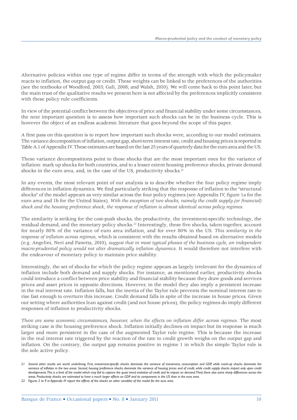Alternative policies within one type of regime differ in terms of the strength with which the policymaker reacts to inflation, the output gap or credit. These weights can be linked to the preferences of the authorities (see the textbooks of Woodford, 2003; Gali, 2008; and Walsh, 2010). We will come back to this point later, but the main trust of the qualitative results we present here is not affected by the preferences implicitly consistent with these policy rule coefficients.

In view of the potential conflict between the objectives of price and financial stability under some circumstances, the next important question is to assess how important such shocks can be in the business cycle. This is however the object of an endless academic literature that goes beyond the scope of this paper.

A first pass on this question is to report how important such shocks were, according to our model estimates. The variance decomposition of inflation, output gap, short-term interest rate, credit and housing prices is reported in Table A.1 of Appendix IV. These estimates are based on the last 25 years of quarterly data for the euro area and the US.

These variance decompositions point to those shocks that are the most important ones for the variance of inflation: mark up shocks for both countries, and to a lesser extent housing preference shocks, private demand shocks in the euro area, and, in the case of the US, productivity shocks.<sup>21</sup>

In any events, the most relevant point of our analysis is to describe whether the four policy regime imply differences in inflation dynamics. We find particularly striking that the response of inflation to the "structural shocks" of the model appears as very similar across the four policy regimes (see Appendix IV, figure 1a for the euro area and 1b for the United States). *With the exception of two shocks, namely the credit supply (or financial) shock and the housing preference shock, the response of inflation is almost identical across policy regimes*.

The similarity is striking for the cost-push shocks, the productivity, the investment-specific technology, the residual demand, and the monetary policy shocks.22 Interestingly, these five shocks, taken together, account for nearly 80% of the variance of euro area inflation, and for over 80% in the US. *This similarity in the response of inflation across regimes*, which is consistent with the results obtained based on alternative models (e.g. Angelini, Neri and Panetta, 2010), *suggest that in most typical phases of the business cycle, an independent macro-prudential policy would not alter dramatically inflation dynamics*. It would therefore not interfere with the endeavour of monetary policy to maintain price stability.

Interestingly, the set of shocks for which the policy regime appears as largely irrelevant for the dynamics of inflation include both demand and supply shocks. For instance, as mentioned earlier, productivity shocks could introduce a conflict between price stability and financial stability because they draw goods and services prices and asset prices in opposite directions. However, in the model they also imply a persistent increase in the real interest rate. Inflation falls, but the inertia of the Taylor rule prevents the nominal interest rate to rise fast enough to overturn this increase. Credit demand falls in spite of the increase in house prices. Given our setting where authorities lean against credit (and not house prices), the policy regimes do imply different responses of inflation to productivity shocks.

*There are some economic circumstances, however, when the effects on inflation differ across regimes*. The most striking case is the housing preference shock. Inflation initially declines on impact but its response is much larger and more persistent in the case of the augmented Taylor rule regime. This is because the increase in the real interest rate triggered by the reaction of the rate to credit growth weighs on the output gap and inflation. On the contrary, the output gap remains positive in regime 1 in which the simple Taylor rule is the sole active policy.

*<sup>21</sup> Several other results are worth underlining. First, investment-specific shocks dominate the variance of investment, consumption and GDP, while mark-up shocks dominate the*  variance of inflation in the two areas. Second, housing preference shocks dominate the variance of housing prices and of credit, while credit supply shocks impact only upon credit developments. This is a limit of the model which may fail to capture the quasi trend evolution of credit and its impact on demand. Third, there also some sharp differences across the *areas. Productivity shocks are estimated to have a much larger effects on GDP and its components in the US than in the euro area.*

*<sup>22</sup> Figures 2 to 9 in Appendix IV report the effects of the shocks on other variables of the model for the euro area.*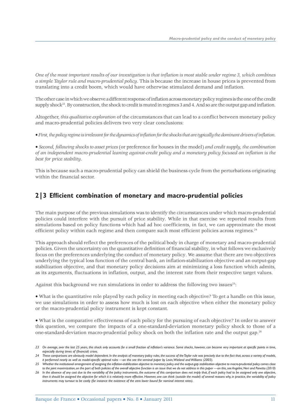*One of the most important results of our investigation is that inflation is most stable under regime 3, which combines a simple Taylor rule and macro-prudential policy*. This is because the increase in house prices is prevented from translating into a credit boom, which would have otherwise stimulated demand and inflation.

The other case in which we observe a different response of inflation across monetary policy regimes is the one of the credit supply shock<sup>23</sup>. By construction, the shock to credit is muted in regimes 3 and 4. And so are the output gap and inflation.

Altogether, *this qualitative exploration* of the circumstances that can lead to a conflict between monetary policy and macro-prudential policies delivers two very clear conclusions:

• *First, the policy regime is irrelevant for the dynamics of inflation for the shocks that are typically the dominant drivers of inflation*.

• *Second, following shocks to asset prices* (or preference for houses in the model) *and credit supply, the combination of an independent macro-prudential leaning against-credit policy and a monetary policy focused on inflation is the best for price stability*.

This is because such a macro-prudential policy can shield the business cycle from the perturbations originating within the financial sector.

### **2|3 Efficient combination of monetary and macro-prudential policies**

The main purpose of the previous simulations was to identify the circumstances under which macro-prudential policies could interfere with the pursuit of price stability. While in that exercise we reported results from simulations based on policy functions which had ad hoc coefficients, in fact, we can approximate the most efficient policy within each regime and then compare such most efficient policies across regimes.<sup>24</sup>

This approach should reflect the preferences of the political body in charge of monetary and macro-prudential policies. Given the uncertainty on the quantitative definition of financial stability, in what follows we exclusively focus on the preferences underlying the conduct of monetary policy. We assume that there are two objectives underlying the typical loss function of the central bank, an inflation-stabilization objective and an output-gap stabilization objective, and that monetary policy decisions aim at minimizing a loss function which admits, as its arguments, fluctuations in inflation, output, and the interest rate from their respective target values.

Against this background we run simulations in order to address the following two issues<sup>25</sup>:

• What is the quantitative role played by each policy in meeting each objective? To get a handle on this issue, we use simulations in order to assess how much is lost on each objective when either the monetary policy or the macro-prudential policy instrument is kept constant.

• What is the comparative effectiveness of each policy for the pursuing of each objective? In order to answer this question, we compare the impacts of a one-standard-deviation monetary policy shock to those of a one-standard-deviation macro-prudential policy shock on both the inflation rate and the output gap.26

<sup>23</sup> On average, over the last 25 years, this shock only accounts for a small fraction of inflation's variance. Some shocks, however, can become very important at specific points in time, *especially during times of (financial) crises.*

*<sup>24</sup> These comparisons are obviously model dependent. In the analysis of monetary policy rules, the success of the Taylor rule was precisely due to the fact that, across a variety of models, it performed nearly as well as model-specific optimal rules —on this see the seminal paper by Levin, Wieland and Williams (2003).* 

*<sup>25</sup> Whether the institutional arrangement of assigning the inflation-stabilization objective to monetary policy and the output-gap stabilization objective to macro-prudential policy comes close to the joint maximization, on the part of both policies of the overall objective function is an issue that we do not address in this paper —on this, see Angelini, Neri and Panetta (2010)*

*<sup>26</sup> In the absence of any cost due to the variability of the policy instruments, the outcome of this comparison does not imply that, if each policy had to be assigned only one objective, then it should be assigned the objective for which it is relatively more effective. However, one can think (outside the model) of several reasons why, in practice, the variability of policy instruments may turnout to be costly (for instance the existence of the zero lower bound for nominal interest rates).*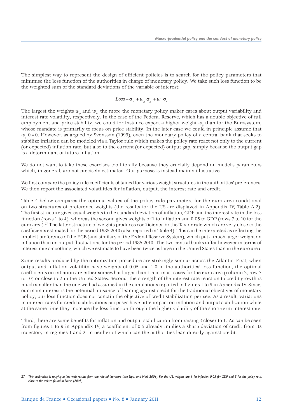The simplest way to represent the design of efficient policies is to search for the policy parameters that minimise the loss function of the authorities in charge of monetary policy. We take such loss function to be the weighted sum of the standard deviations of the variable of interest:

$$
Loss = \sigma_{\pi} + w_{y} \sigma_{y} + w_{r} \sigma_{r}
$$

The largest the weights  $w_y$  and  $w_{r'}$ , the more the monetary policy maker cares about output variability and interest rate volatility, respectively. In the case of the Federal Reserve, which has a double objective of full employment and price stability, we could for instance expect a higher weight  $w_y$  than for the Eurosystem, whose mandate is primarily to focus on price stability. In the later case we could in principle assume that *wy* 0=0. However, as argued by Svensson (1999), even the monetary policy of a central bank that seeks to stabilize inflation can be modeled via a Taylor rule which makes the policy rate react not only to the current (or expected) inflation rate, but also to the current (or expected) output gap, simply because the output gap is a determinant of future inflation.

We do not want to take these exercises too literally because they crucially depend on model's parameters which, in general, are not precisely estimated. Our purpose is instead mainly illustrative.

We first compare the policy rule coefficients obtained for various weight structures in the authorities' preferences. We then report the associated volatilities for inflation, output, the interest rate and credit.

Table 4 below compares the optimal values of the policy rule parameters for the euro area conditional on two structures of preference weights (the results for the US are displayed in Appendix IV, Table A.2). The first structure gives equal weights to the standard deviation of inflation, GDP and the interest rate in the loss function (rows 1 to 4), whereas the second gives weights of 1 to inflation and 0.05 to GDP (rows 7 to 10 for the euro area).27 The latter structure of weights produces coefficients for the Taylor rule which are very close to the coefficients estimated for the period 1985-2010 (also reported in Table 4). This can be interpreted as reflecting the implicit preference of the ECB (and similary of the Federal Reserve System), which put a much larger weight on inflation than on output fluctuations for the period 1985-2010. The two central banks differ however in terms of interest rate smoothing, which we estimate to have been twice as large in the United States than in the euro area.

Some results produced by the optimization procedure are strikingly similar across the Atlantic. First, when output and inflation volatility have weights of 0.05 and 1.0 in the authorities' loss function, the optimal coefficients on inflation are either somewhat larger than 1.5 in most cases for the euro area (column 2, row 7 to 10) or close to 2 in the United States. Second, the strength of the interest rate reaction to credit growth is much smaller than the one we had assumed in the simulations reported in figures 1 to 9 in Appendix IV. Since, our main interest is the potential nuisance of leaning against credit for the traditional objectives of monetary policy, our loss function does not contain the objective of credit stabilization per see. As a result, variations in interest rates for credit stabilizations purposes have little impact on inflation and output stabilization while at the same time they increase the loss function through the higher volatility of the short-term interest rate.

Third, there are some benefits for inflation and output stabilization from raising  $\tau$  closer to 1. As can be seen from figures 1 to 9 in Appendix IV, a coefficient of 0.5 already implies a sharp deviation of credit from its trajectory in regimes 1 and 2, in neither of which can the authorities lean directly against credit.

<sup>27</sup> This calibration is roughly in line with results from the related literature (see Lippi and Neri, 2006). For the US, weights are 1 for inflation, 0.05 for GDP and 5 for the policy rate, *close to the values found in Denis (2005).*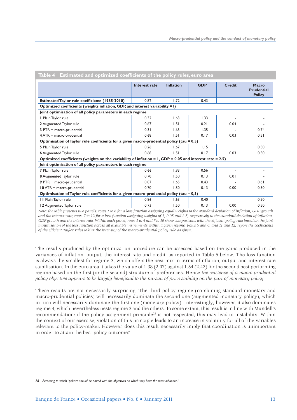|                                                                                                            | Interest rate | <b>Inflation</b> | <b>GDP</b> | <b>Credit</b> | <b>Macro</b><br><b>Prudential</b><br><b>Policy</b> |
|------------------------------------------------------------------------------------------------------------|---------------|------------------|------------|---------------|----------------------------------------------------|
| <b>Estimated Taylor rule coefficients (1985-2010)</b>                                                      | 0.82          | 1.72             | 0.43       |               |                                                    |
| Optimized coefficients (weights inflation, GDP, and interest variability =1)                               |               |                  |            |               |                                                    |
| Joint optimisation of all policy parameters in each regime                                                 |               |                  |            |               |                                                    |
| I Plain Taylor rule                                                                                        | 0.32          | 1.63             | 1.33       |               |                                                    |
| 2 Augmented Taylor rule                                                                                    | 0.67          | 1.51             | 0.21       | 0.04          |                                                    |
| 3 PTR + macro-prudential                                                                                   | 0.31          | 1.63             | 1.35       |               | 0.74                                               |
| 4 ATR + macro-prudential                                                                                   | 0.68          | 1.51             | 0.17       | 0.03          | 0.51                                               |
| Optimisation of Taylor rule coefficients for a given macro-prudential policy (tau = 0,5)                   |               |                  |            |               |                                                    |
| 5 Plain Taylor rule                                                                                        | 0.26          | 1.67             | 1.15       |               | 0.50                                               |
| 6 Augmented Taylor rule                                                                                    | 0.68          | 1.51             | 0.17       | 0.03          | 0.50                                               |
| Optimized coefficients (weights on the variability of inflation = $1, GDP = 0.05$ and interest rate = 2.5) |               |                  |            |               |                                                    |
| Joint optimisation of all policy parameters in each regime                                                 |               |                  |            |               |                                                    |
| 7 Plain Taylor rule                                                                                        | 0.66          | 1.93             | 0.56       |               |                                                    |
| 8 Augmented Taylor rule                                                                                    | 0.70          | 1.50             | 0.13       | 0.01          |                                                    |
| 9 PTR + macro-prudential                                                                                   | 0.87          | 1.65             | 0.43       |               | 0.61                                               |
| 10 ATR + macro-prudential                                                                                  | 0.70          | 1.50             | 0.13       | 0.00          | 0.50                                               |
| Optimisation of Taylor rule coefficients for a given macro-prudential policy (tau = 0,5)                   |               |                  |            |               |                                                    |
| II Plain Taylor rule                                                                                       | 0.86          | 1.63             | 0.40       |               | 0.50                                               |
|                                                                                                            | 0.73          | 1.50             | 0.13       | 0.00          | 0.50                                               |

**Table 4 Estimated and optimized coefficients of the policy rules, euro area** 

The results produced by the optimization procedure can be assessed based on the gains produced in the of the efficient Taylor rules taking the intensity of the macro-prudential policy rule as given.

variances of inflation, output, the interest rate and credit, as reported in Table 5 below. The loss function is always the smallest for regime 3, which offers the best mix in terms ofinflation, output and interest rate stabilisation. In the euro area it takes the value of 1.38 (2.07) against 1.54 (2.42) for the second best performing regime based on the first (or the second) structure of preferences. Hence *the existence of a macro-prudential policy objective appears to be largely beneficial to the pursuit of price stability on the part of monetary policy*.

These results are not necessarily surprising. The third policy regime (combining standard monetary and macro-prudential policies) will necessarily dominate the second one (augmented monetary policy), which in turn will necessarily dominate the first one (monetary policy). Interestingly, however, it also dominates regime 4, which nevertheless nests regime 3 and the others. To some extent, this result is in line with Mundell's recommendation: if the policy-assignment principle28 is not respected, this may lead to instability. Within the context of our exercise, violation of this principle leads to an increase in volatility for all of the variables relevant to the policy-maker. However, does this result necessarily imply that coordination is unimportant in order to attain the best policy outcome?

*<sup>28</sup> According to which "policies should be paired with the objectives on which they have the most influence."*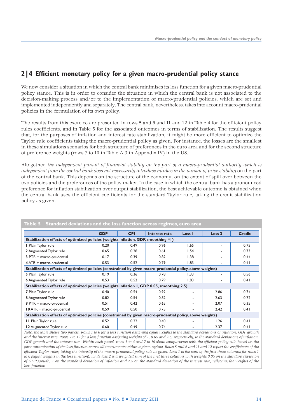# **2/4 Efficient monetary policy for a given macro-prudential policy stance**

We now consider a situation in which the central bank minimises its loss function for a given macro-prudential policy stance. This is in order to consider the situation in which the central bank is not associated to the decision-making process and/or to the implementation of macro-prudential policies, which are set and implemented independently and separately. The central bank, nevertheless, takes into account macro-prudential policies in the formulation of its own policy.

The results from this exercice are presented in rows 5 and 6 and 11 and 12 in Table 4 for the efficient policy rules coefficients, and in Table 5 for the associated outcomes in terms of stabilization. The results suggest that, for the purposes of inflation and interest rate stabilization, it might be more efficient to optimize the Taylor rule coefficients taking the macro-prudential policy as given. For instance, the losses are the smallest in these simulations scenarios for both structure of preferences in the euro area and for the second structure of preference weights (rows 7 to 10 in Table A.3 in Appendix IV) in the US.

Altogether, *the independent pursuit of financial stability on the part of a macro-prudential authority which is independent from the central bank does not necessarily introduce hurdles in the pursuit of price stability* on the part of the central bank. This depends on the structure of the economy, on the extent of spill over between the two policies and the preferences of the policy maker. In the case in which the central bank has a pronounced preference for inflation stabilization over output stabilization, the best achievable outcome is obtained when the central bank uses the efficient coefficients for the standard Taylor rule, taking the credit stabilization policy as given.

|                                                                                                           | <b>GDP</b>                                                                                                | <b>CPI</b> | Interest rate | Loss I | Loss <sub>2</sub> | <b>Credit</b> |  |  |
|-----------------------------------------------------------------------------------------------------------|-----------------------------------------------------------------------------------------------------------|------------|---------------|--------|-------------------|---------------|--|--|
| Stabilization effects of optimized policies (weights inflation, GDP, smoothing =1)                        |                                                                                                           |            |               |        |                   |               |  |  |
| I Plain Taylor rule                                                                                       | 0.20                                                                                                      | 0.49       | 0.96          | 1.65   |                   | 0.75          |  |  |
| 2 Augmented Taylor rule                                                                                   | 0.65                                                                                                      | 0.28       | 0.61          | 1.54   |                   | 0.73          |  |  |
| 3 PTR + macro-prudential                                                                                  | 0.17                                                                                                      | 0.39       | 0.82          | 1.38   |                   | 0.44          |  |  |
| 4 ATR + macro-prudential                                                                                  | 0.53                                                                                                      | 0.52       | 0.79          | 1.83   | ٠                 | 0.41          |  |  |
|                                                                                                           | Stabilization effects of optimized policies (constrained by given macro-prudential policy, above weights) |            |               |        |                   |               |  |  |
| 5 Plain Taylor rule                                                                                       | 0.19                                                                                                      | 0.36       | 0.78          | 1.33   |                   | 0.56          |  |  |
| <b>6</b> Augmented Taylor rule                                                                            | 0.53                                                                                                      | 0.52       | 0.79          | 1.83   |                   | 0.41          |  |  |
| Stabilization effects of optimized policies (weights inflation 1, GDP 0.05, smoothing 2.5)                |                                                                                                           |            |               |        |                   |               |  |  |
| 7 Plain Taylor rule                                                                                       | 0.40                                                                                                      | 0.54       | 0.92          |        | 2.86              | 0.74          |  |  |
| 8 Augmented Taylor rule                                                                                   | 0.82                                                                                                      | 0.54       | 0.82          |        | 2.63              | 0.72          |  |  |
| 9 PTR + macro-prudential                                                                                  | 0.51                                                                                                      | 0.42       | 0.65          |        | 2.07              | 0.35          |  |  |
| 10 ATR + macro-prudential                                                                                 | 0.59                                                                                                      | 0.50       | 0.75          |        | 2.42              | 0.41          |  |  |
| Stabilization effects of optimized policies (constrained by given macro-prudential policy, above weights) |                                                                                                           |            |               |        |                   |               |  |  |
| <b>II</b> Plain Taylor rule                                                                               | 0.52                                                                                                      | 0.22       | 0.40          |        | 1.26              | 0.41          |  |  |
| 12 Augmented Taylor rule                                                                                  | 0.60                                                                                                      | 0.49       | 0.74          |        | 2.37              | 0.41          |  |  |

#### **Table 5 Standard deviations and the loss function across regimes, euro area**

*Note: the table shows two panels: Rows 1 to 6 for a loss function assigning equal weights to the standard deviations of inflation, GDP growth* and the interest rate. Rows 7 to 12 for a loss function assigning weights of 1, 0.05 and 2.5, respectively, to the standard deviations of inflation, *GDP growth and the interest rate. Within each panel, rows 1 to 4 and 7 to 10 show comparisons with the efficient policy rule based on the joint minimisation of the loss function across all instruments within a given regime. Rows 5 and 6 and 11 and 12 report the coefficients of the efficient Taylor rules, taking the intensity of the macro-prudential policy rule as given. Loss 1 is the sum of the first three columns for rows 1* to 6 (equal weights in the loss function), while loss 2 is a weighted sum of the first three columns with weights 0.05 on the standard deviation *of GDP growth, 1 on the standard deviation of inflation and 2.5 on the standard deviation of the interest rate, reflecting the weights of the loss function.*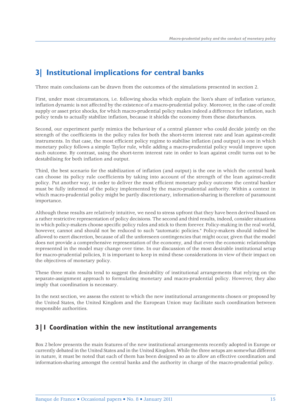# **3| Institutional implications for central banks**

Three main conclusions can be drawn from the outcomes of the simulations presented in section 2.

First, under most circumstances, i.e. following shocks which explain the lion's share of inflation variance, inflation dynamic is not affected by the existence of a macro-prudential policy. Moreover, in the case of credit supply or asset price shocks, for which macro-prudential policy makes indeed a difference for inflation, such policy tends to actually stabilize inflation, because it shields the economy from these disturbances.

Second, our experiment partly mimics the behaviour of a central planner who could decide jointly on the strength of the coefficients in the policy rules for both the short-term interest rate and lean against-credit instruments. In that case, the most efficient policy regime to stabilise inflation (and output) is one in which monetary policy follows a simple Taylor rule, while adding a macro-prudential policy would improve upon such outcome. By contrast, using the short-term interest rate in order to lean against credit turns out to be destabilising for both inflation and output.

Third, the best scenario for the stabilization of inflation (and output) is the one in which the central bank can choose its policy rule coefficients by taking into account of the strength of the lean against-credit policy. Put another way, in order to deliver the most efficient monetary policy outcome the central banker must be fully informed of the policy implemented by the macro-prudential authority. Within a context in which macro-prudential policy might be partly discretionary, information-sharing is therefore of paramount importance.

Although these results are relatively intuitive, we need to stress upfront that they have been derived based on a rather restrictive representation of policy decisions. The second and third results, indeed, consider situations in which policy-makers choose specific policy rules and stick to them forever. Policy-making in the real world, however, cannot and should not be reduced to such "automatic policies." Policy-makers should indeed be allowed to exert discretion, because of all the unforeseen contingencies that might occur, given that the model does not provide a comprehensive representation of the economy, and that even the economic relationships represented in the model may change over time. In our discussion of the most desirable institutional setup for macro-prudential policies, It is important to keep in mind these considerations in view of their impact on the objectives of monetary policy.

These three main results tend to suggest the desirability of institutional arrangements that relying on the separate-assignment approach to formulating monetary and macro-prudential policy. However, they also imply that coordination is necessary.

In the next section, we assess the extent to which the new institutional arrangements chosen or proposed by the United States, the United Kingdom and the European Union may facilitate such coordination between responsible authorities.

# **3|1 Coordination within the new institutional arrangements**

Box 2 below presents the main features of the new institutional arrangements recently adopted in Europe or currently debated in the United States and in the United Kingdom. While the three setups are somewhat different in nature, it must be noted that each of them has been designed so as to allow an effective coordination and information-sharing amongst the central banks and the authority in charge of the macro-prudential policy.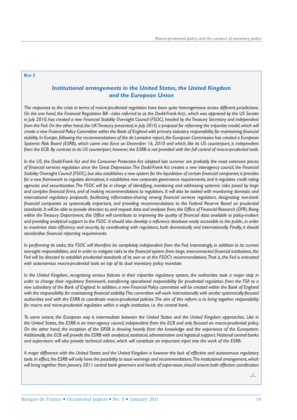#### *BOX 2*

#### *Institutional arrangements in the United States, the United Kingdom and the European Union*

*The responses to the crisis in terms of macro-prudential regulation have been quite heterogeneous across different jurisdictions. On the one hand, the Financial Regulation Bill –(also referred to as the Dodd-Frank Act)-, which was approved by the US Senate in July 2010, has created a new Financial Stability Oversight Council (FSOC), headed by the Treasury Secretary and independent from the Fed. On the other hand, the UK Treasury presented, in July 2010, a proposal for reforming the tripartite model, which will* create a new Financial Policy Committee within the Bank of England with primary statutory responsibility for maintaining financial *stability. In Europe, following the recommendations of the de Larosière report, the European Commission has created a European Systemic Risk Board (ESRB), which came into force on December 16, 2010 and which, like its US counterpart, is independent from the ECB. By contrast to its US counterpart, however, the ESRB is not provided with the full control of macro-prudential tools.* 

*In the US, the Dodd-Frank Act and the Consumer Protection Act adopted last summer are probably the most extensive pieces of fi nancial services regulation since the Great Depression. The Dodd-Frank Act creates a new interagency council, the Financial*  Stability Oversight Council (FSOC), but also establishes a new system for the liquidation of certain financial companies; it provides *for a new framework to regulate derivatives; it establishes new corporate governance requirements; and it regulates credit rating agencies and securitization. The FSOC will be in charge of identifying, monitoring and addressing systemic risks posed by large* and complex financial firms, and of making recommendations to regulators. It will also be tasked with monitoring domestic and international regulatory proposals, facilitating information-sharing among financial services regulators, designating non-bank financial companies as systemically important, and providing recommendations to the Federal Reserve Board on prudential standards. It will be able to provide direction to, and request data and analyses from, the Office of Financial Research (OFR). Being within the Treasury Department, this Office will contribute to improving the quality of financial data available to policy-makers *and providing analytical support to the FSOC. It should also develop a reference database easily accessible to the public, in order*  to maximise data efficiency and security, by coordinating with regulators, both domestically and internationally. Finally, it should standardise financial reporting requirements.

*In performing its tasks, the FSOC will therefore be completely independent from the Fed. Interestingly, in addition to its current oversight responsibilities, and in order to mitigate risks to the financial system from large, interconnected financial institutions, the Fed will be directed to establish prudential standards of its own or at the FSOC's recommendations. That is, the Fed is entrusted with autonomous macro-prudential tools on top of its dual monetary policy mandate.* 

*In the United Kingdom, recognizing serious failures in their tripartite regulatory system, the authorities took a major step in order to change their regulatory framework, transferring operational responsibility for prudential regulation from the FSA to a new subsidiary of the Bank of England. In addition, a new Financial Policy committee will be created within the Bank of England* with the responsibility for maintaining financial stability. This committee will work internationally with similar systemically-focused *authorities and with the ESRB to coordinate macro-prudential policies. The aim of this reform is to bring together responsibility for macro and micro-prudential regulation within a single institution, i.e. the central bank.* 

*To some extent, the European way is intermediate between the United States and the United Kingdom approaches. Like in the United States, the ESRB is an inter-agency council, independent from the ECB and only focused on macro-prudential policy. On the other hand, the inception of the ERSB is drawing heavily from the knowledge and the experience of the Eurosystem. Additionally, the ECB will provide the ESRB with analytical, statistical, administrative and logistical support. National central banks and supervisors will also provide technical advice, which will constitute an important input into the work of the ESRB.*

*A major difference with the United States and the United Kingdom is however the lack of effective and autonomous regulatory tools. In effect, the ESRB will only have the possibility to issue warnings and recommendations. The institutional arrangement, which will bring together from January 2011 central bank governors and heads of supervision, should ensure both effective coordination* 

*.../...*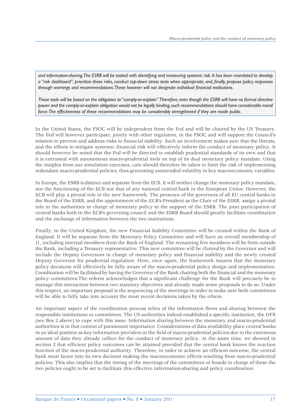*and information-sharing. The ESRB will be tasked with identifying and measuring systemic risk. It has been mandated to develop a "risk dashboard", prioritize these risks, conduct top-down stress tests when appropriate, and, fi nally, propose policy responses through warnings and recommendations. These however will not designate individual financial institutions.* 

*These tools will be based on the obligation to "comply-or-explain". Therefore, even though the ESRB will have no formal directive power and the comply-or-explain obligation would not be legally binding, such recommendations should have considerable moral force. The effectiveness of these recommendations may be considerably strengthened if they are made public.*

In the United States, the FSOC will be independent from the Fed and will be chaired by the US Treasury. The Fed will however participate, jointly with other regulators, in the FSOC and will support the Council's mission to prevent and address risks to financial stability. Such an involvement makes sure that the threats, and the efforts to mitigate systemic financial risk will effectively inform the conduct of monetary policy. It should however be noted that the Fed will be directed to establish prudential standards of its own and that it is entrusted with autonomous macro-prudential tools on top of its dual monetary policy mandate. Using the insights from our simulation exercises, care should therefore be taken to limit the risk of implementing redundant macro-prudential policies, thus generating unintended volatility in key macroeconomic variables.

In Europe, the ESRB is distinct and separate from the ECB. It will neither change the monetary policy mandate, nor the functioning of the ECB nor that of any national central bank in the European Union. However, the ECB will play a pivotal role in the new framework. The presence of the governors of all EU central banks in the Board of the ESRB, and the appointment of the ECB's President as the Chair of the ESRB, assign a pivotal role to the authorities in charge of monetary policy in the support of the ESRB. The joint participation of central banks both in the ECB's governing council and the ESRB Board should greatly facilitate coordination and the exchange of information between the two institutions.

Finally, in the United Kingdom, the new Financial Stability Committee will be created within the Bank of England. It will be separate from the Monetary Policy Committee and will have an overall membership of 11, including internal members from the Bank of England. The remaining five members will be from outside the Bank, including a Treasury representative. This new committee will be chaired by the Governor and will include the Deputy Governors in charge of monetary policy and financial stability and the newly created Deputy Governor for prudential regulation. Here, once again, the framework insures that the monetary policy decisions will effectively be fully aware of the macro-prudential policy design and implementation. Coordination will be facilitated by having the Governor of the Bank chairing both the financial and the monetary policy committees.The reform acknowledges that a significant challenge for the Bank will precisely be to manage this interaction between two statutory objectives and already made some proposals to do so. Under this respect, an important proposal is the sequencing of the meetings in order to make sure both committees will be able to fully take into account the most recent decisions taken by the others.

An important aspect of the coordination process relies of the information flows and sharing between the responsible institutions or committees. The US authorities indeed established a specific institution, the OFR (see Box 2 above) to cope with this issue. Information sharing between the monetary and macro-prudential authorities is in that context of paramount importance. Considerations of data availability place central banks in an ideal position as key information providers in the field of macro-prudential policies due to the enormous amount of data they already collect for the conduct of monetary policy. At the same time, we showed in section 2 that efficient policy outcomes can be attained provided that the central bank knows the reaction function of the macro-prudential authority. Therefore, in order to achieve an efficient outcome, the central bank must factor into its own decision making the macroeconomic effects resulting from macro-prudential policies. This also implies that the timing of the meetings of the committees or boards in charge of these the two policies ought to be set to facilitate this effective information-sharing and policy coordination.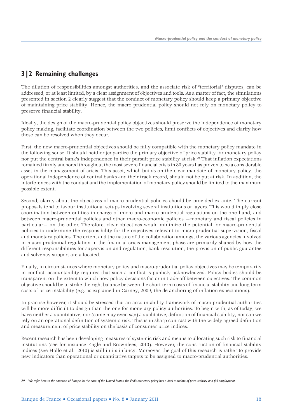# **3|2 Remaining challenges**

The dilution of responsibilities amongst authorities, and the associate risk of "territorial" disputes, can be addressed, or at least limited, by a clear assignment of objectives and tools. As a matter of fact, the simulations presented in section 2 clearly suggest that the conduct of monetary policy should keep a primary objective of maintaining price stability. Hence, the macro prudential policy should not rely on monetary policy to preserve financial stability.

Ideally, the design of the macro-prudential policy objectives should preserve the independence of monetary policy making, facilitate coordination between the two policies, limit conflicts of objectives and clarify how these can be resolved when they occur.

First, the new macro-prudential objectives should be fully compatible with the monetary policy mandate in the following sense. It should neither jeopardize the primary objective of price stability for monetary policy nor put the central bank's independence in their pursuit price stability at risk.29 That inflation expectations remained firmly anchored throughout the most severe financial crisis in 80 years has proven to be a considerable asset in the management of crisis. This asset, which builds on the clear mandate of monetary policy, the operational independence of central banks and their track record, should not be put at risk. In addition, the interferences with the conduct and the implementation of monetary policy should be limited to the maximum possible extent.

Second, clarity about the objectives of macro-prudential policies should be provided ex ante. The current proposals tend to favour institutional setups involving several institutions or layers. This would imply close coordination between entities in charge of micro and macro-prudential regulations on the one hand, and between macro-prudential policies and other macro-economic policies —monetary and fiscal policies in particular— on the other. Therefore, clear objectives would minimize the potential for macro-prudential policies to undermine the responsibility for the objectives relevant to micro-prudential supervision, fiscal and monetary policies. The extent and the nature of the collaboration amongst the various agencies involved in macro-prudential regulation in the financial crisis management phase are primarily shaped by how the different responsibilities for supervision and regulation, bank resolution, the provision of public guarantee and solvency support are allocated.

Finally, in circumstances where monetary policy and macro-prudential policy objectives may be temporarily in conflict, accountability requires that such a conflict is publicly acknowledged. Policy bodies should be transparent on the extent to which how policy decisions factor in trade-off between objectives. The common objective should be to strike the right balance between the short-term costs of financial stability and long-term costs of price instability (e.g. as explained in Carney, 2009, the de-anchoring of inflation expectations).

In practise however, it should be stressed that an accountability framework of macro-prudential authorities will be more difficult to design than the one for monetary policy authorities. To begin with, as of today, we have neither a quantitative, nor (some may even say) a qualitative, definition of financial stability, nor can we rely on an operational definition of systemic risk. This is in sharp contrast with the widely agreed definition and measurement of price stability on the basis of consumer price indices.

Recent research has been developing measures of systemic risk and means to allocating such risk to financial institutions (see for instance Engle and Brownlees, 2010). However, the construction of financial stability indices (see Hollo et al., 2010) is still in its infancy. Moreover, the goal of this research is rather to provide new indicators than operational or quantitative targets to be assigned to macro-prudential authorities.

*<sup>29</sup> We refer here to the situation of Europe. In the case of the United States, the Fed's monetary policy has a dual mandate of price stability and full employment.*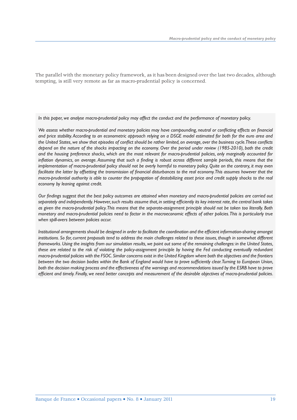The parallel with the monetary policy framework, as it has been designed over the last two decades, although tempting, is still very remote as far as macro-prudential policy is concerned.

*In this paper, we analyse macro-prudential policy may affect the conduct and the performance of monetary policy.* 

We assess whether macro-prudential and monetary policies may have compounding, neutral or conflicting effects on financial *and price stability. According to an econometric approach relying on a DSGE model estimated for both for the euro area and*  the United States, we show that episodes of conflict should be rather limited, on average, over the business cycle. These conflicts *depend on the nature of the shocks impacting on the economy. Over the period under review (1985-2010), both the credit and the housing preference shocks, which are the most relevant for macro-prudential policies, only marginally accounted for inflation dynamics, on average. Assuming that such a finding is robust across different sample periods, this means that the implementation of macro-prudential policy should not be overly harmful to monetary policy. Quite on the contrary, it may even*  facilitate the latter by offsetting the transmission of financial disturbances to the real economy. This assumes however that the *macro-prudential authority is able to counter the propagation of destabilizing asset price and credit supply shocks to the real economy by leaning against credit.*

*Our fi ndings suggest that the best policy outcomes are attained when monetary and macro-prudential policies are carried out*  separately and independently. However, such results assume that, in setting efficiently its key interest rate, the central bank takes *as given the macro-prudential policy. This means that the separate-assignment principle should not be taken too literally. Both monetary and macro-prudential policies need to factor in the macroeconomic effects of other policies. This is particularly true when spill-overs between policies occur.* 

*Institutional arrangements should be designed in order to facilitate the coordination and the efficient information-sharing amongst institutions. So far, current proposals tend to address the main challenges related to these issues, though in somewhat different frameworks. Using the insights from our simulation results, we point out some of the remaining challenges: in the United States, these are related to the risk of violating the policy-assignment principle by having the Fed conducting eventually redundant macro-prudential policies with the FSOC. Similar concerns exist in the United Kingdom where both the objectives and the frontiers*  between the two decision bodies within the Bank of England would have to prove sufficiently clear. Turning to European Union, *both the decision making process and the effectiveness of the warnings and recommendations issued by the ESRB have to prove effi cient and timely. Finally, we need better concepts and measurement of the desirable objectives of macro-prudential policies.*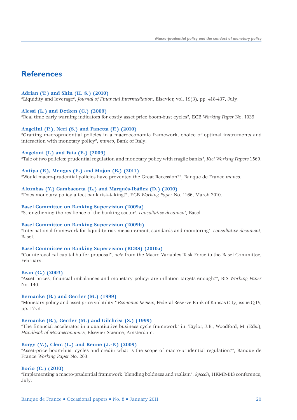# **References**

#### **Adrian (T.) and Shin (H. S.) (2010)**

"Liquidity and leverage", *Journal of Financial Intermediation*, Elsevier, vol. 19(3), pp. 418-437, July.

#### **Alessi (L.) and Detken (C.) (2009)**

"Real time early warning indicators for costly asset price boom-bust cycles", ECB *Working Paper* No. 1039.

#### **Angelini (P.), Neri (S.) and Panetta (F.) (2010)**

"Grafting macroprudential policies in a macroeconomic framework, choice of optimal instruments and interaction with monetary policy", *mimeo*, Bank of Italy.

#### **Angeloni (I.) and Faia (E.) (2009)**

"Tale of two policies: prudential regulation and monetary policy with fragile banks", *Kiel Working Papers* 1569.

#### **Antipa (P.), Mengus (E.) and Mojon (B.) (2011)**

"Would macro-prudential policies have prevented the Great Recession?", Banque de France *mimeo*.

#### **Altunbas (Y.) Gambacorta (L.) and Marqués-Ibáñez (D.) (2010)**

"Does monetary policy affect bank risk-taking?", ECB *Working Paper* No. 1166, March 2010.

#### **Basel Committee on Banking Supervision (2009a)**

"Strengthening the resilience of the banking sector", *consultative document*, Basel.

#### **Basel Committee on Banking Supervision (2009b)**

"International framework for liquidity risk measurement, standards and monitoring", *consultative document*, Basel.

#### **Basel Committee on Banking Supervision (BCBS) (2010a)**

"Countercyclical capital buffer proposal", *note* from the Macro Variables Task Force to the Basel Committee, February.

#### **Bean (C.) (2003)**

"Asset prices, financial imbalances and monetary policy: are inflation targets enough?", BIS *Working Paper* No. 140.

#### **Bernanke (B.) and Gertler (M.) (1999)**

"Monetary policy and asset price volatility," *Economic Review*, Federal Reserve Bank of Kansas City, issue Q IV, pp. 17-51.

#### **Bernanke (B.), Gertler (M.) and Gilchrist (S.) (1999)**

"The financial accelerator in a quantitative business cycle framework" in: Taylor, J.B., Woodford, M. (Eds.), *Handbook of Macroeconomics*, Elsevier Science, Amsterdam.

#### **Borgy (V.), Clerc (L.) and Renne (J.-P.) (2009)**

"Asset-price boom-bust cycles and credit: what is the scope of macro-prudential regulation?", Banque de France *Working Paper* No. 263.

#### **Borio (C.) (2010)**

"Implementing a macro-prudential framework: blending boldness and realism", *Speech*, HKMR-BIS conference, July.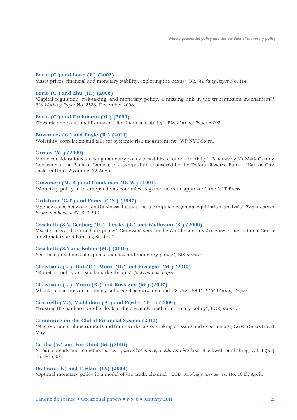#### **Borio (C.) and Lowe (P.) (2002)**

"Asset prices, financial and monetary stability: exploring the nexus", BIS *Working Paper* No. 114.

#### **Borio (C.) and Zhu (H.) (2008)**

"Capital regulation, risk-taking, and monetary policy: a missing link in the transmission mechanism?", BIS *Working Paper* No. 2588, December 2008.

#### **Borio (C.) and Drehmann (M.) (2009)**

"Towards an operational framework for financial stability", BIS *Working Paper* # 292.

#### **Brownlees (C.) and Engle (R.) (2010)**

"Volatility, correlation and tails for systemic risk measurement", WP NYU-Stern.

#### **Carney (M.) (2009)**

"Some considerations on using monetary policy to stabilize economic activity", *Remarks* by Mr Mark Carney, Governor of the Bank of Canada, to a symposium sponsored by the Federal Reserve Bank of Kansas City, Jackson Hole, Wyoming, 22 August.

#### **Canzoneri (M. B.) and Henderson (D. W.) (1991)**

"Monetary policy in interdependent economies: A game theoretic approach", the MIT Press.

#### **Carlstrom (C.T.) and Fuerst (T.S.) (1997)**

"Agency costs, net worth, and business fluctuations: a computable general equilibrium analysis", *The American Economic Review* 87, 893–910.

#### **Cecchetti (S.), Genberg (H.), Lipsky (J.) and Wadhwani (S.) (2000)**

"Asset prices and central bank policy", Geneva *Reports* on the World Economy 2 (Geneva: International Centre for Monetary and Banking Studies).

#### **Cecchetti (S.) and Kohler (M.) (2010)**

"On the equivalence of capital adequacy and monetary policy", BIS *mimeo*.

#### **Christiano (L.), Ilut (C.), Motto (R.) and Rostagno (M.) (2010)**

"Monetary policy and stock market booms", *Jackson hole paper*.

#### **Christiano (L.), Motto (R.) and Rostagno (M.) (2007)**

"Shocks, structures or monetary policies? The euro area and US after 2001", *ECB Working Paper.*

#### **Ciccarelli (M.), Maddaloni (A.) and Peydró (J-L.) (2009)**

"Trusting the bankers: another look at the credit channel of monetary policy", ECB, *mimeo.*

#### **Committee on the Global Financial System (2010)**

"Macro-prudential instruments and frameworks: a stock taking of issues and experiences", *CGFS Papers* No 38, May.

#### **Curdia (V.) and Woodford (M.)(2010)**

"Credit spreads and monetary policy", *Journal of money, credit and banking*, Blackwell publishing, vol. 42(s1), pp. 3-35, 09.

#### **De Fiore (F.) and Tristani (O.) (2009)**

"Optimal monetary policy in a model of the credit channel", ECB *working paper series*, No. 1043, April.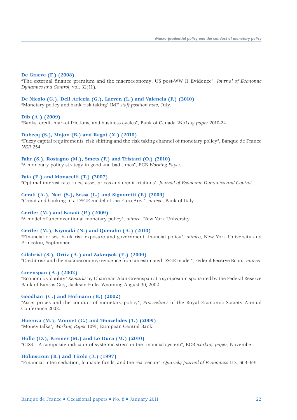#### **De Graeve (F.) (2008)**

"The external finance premium and the macroeconomy: US post-WW II Evidence", *Journal of Economic Dynamics and Control*, vol. 32(11).

#### **De Nicolo (G.), Dell Ariccia (G.), Laeven (L.) and Valencia (F.) (2010)**

"Monetary policy and bank risk taking" IMF *staff position note*, July.

#### **Dib (A.) (2009)**

"Banks, credit market frictions, and business cycles", Bank of Canada *Working paper* 2010-24.

#### **Dubecq (S.), Mojon (B.) and Ragot (X.) (2010)**

"Fuzzy capital requirements, risk shifting and the risk taking channel of monetary policy", Banque de France *NER* 254.

#### **Fahr (S.), Rostagno (M.), Smets (F.) and Tristani (O.) (2010)**

"A monetary policy strategy in good and bad times", ECB *Working Paper.*

#### **Faia (E.) and Monacelli (T.) (2007)**

"Optimal interest rate rules, asset prices and credit frictions", *Journal of Economic Dynamics and Control*.

#### **Gerali (A.), Neri (S.), Sessa (L.) and Signoretti (F.) (2009)**

"Credit and banking in a DSGE model of the Euro Area", *mimeo*, Bank of Italy.

#### **Gertler (M.) and Karadi (P.) (2009)**

"A model of unconventional monetary policy", *mimeo*, New York University.

#### **Gertler (M.), Kiyotaki (N.) and Queralto (A.) (2010)**

"Financial crises, bank risk exposure and government financial policy", *mimeo*, New York University and Princeton, September.

#### **Gilchrist (S.), Ortiz (A.) and Zakrajsek (E.) (2009)**

"Credit risk and the macroeconomy: evidence from an estimated DSGE model", Federal Reserve Board, *mimeo*.

#### **Greenspan (A.) (2002)**

"Economic volatility" *Remarks* by Chairman Alan Greenspan at a symposium sponsored by the Federal Reserve Bank of Kansas City, Jackson Hole, Wyoming August 30, 2002.

#### **Goodhart (C.) and Hofmann (B.) (2002)**

"Asset prices and the conduct of monetary policy", *Proceedings* of the Royal Economic Society Annual Conference 2002.

#### **Hoerova (M.), Monnet (C.) and Temzelides (T.) (2009)**

"Money talks", *Working Paper* 1091, European Central Bank.

#### **Hollo (D.), Kremer (M.) and Lo Duca (M.) (2010)**

"CISS – A composite indicator of systemic stress in the financial system", ECB *working paper*, November.

#### **Holmstrom (B.) and Tirole (J.) (1997)**

"Financial intermediation, loanable funds, and the real sector", *Quartely Journal of Economics* 112, 663–691.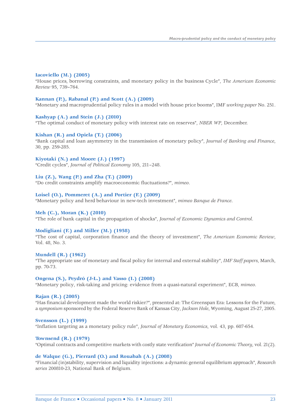#### **Iacoviello (M.) (2005)**

"House prices, borrowing constraints, and monetary policy in the business Cycle", *The American Economic Review* 95, 739–764.

#### **Kannan (P.), Rabanal (P.) and Scott (A.) (2009)**

"Monetary and macroprudential policy rules in a model with house price booms", IMF *working paper* No. 251.

#### **Kashyap (A.) and Stein (J.) (2010)**

"The optimal conduct of monetary policy with interest rate on reserves", *NBER WP*, December.

#### **Kishan (R.) and Opiela (T.) (2006)**

"Bank capital and loan asymmetry in the transmission of monetary policy", *Journal of Banking and Finance*, 30, pp. 259-285.

#### **Kiyotaki (N.) and Moore (J.) (1997)**

"Credit cycles", *Journal of Political Economy* 105, 211–248.

#### **Liu (Z.), Wang (P.) and Zha (T.) (2009)**

"Do credit constraints amplify macroeconomic fluctuations?", *mimeo*.

#### **Loisel (O.), Pommeret (A.) and Portier (F.) (2009)**

"Monetary policy and herd behaviour in new-tech investment", *mimeo Banque de France*.

#### **Meh (C.), Moran (K.) (2010)**

"The role of bank capital in the propagation of shocks", *Journal of Economic Dynamics and Control*.

#### **Modigliani (F.) and Miller (M.) (1958)**

"The cost of capital, corporation finance and the theory of investment", *The American Economic Review*, Vol. 48, No. 3.

#### **Mundell (R.) (1962)**

"The appropriate use of monetary and fiscal policy for internal and external stability", *IMF Staff papers*, March, pp. 70-73.

#### **Ongena (S.), Peydró (J-L.) and Vasso (I.) (2008)**

"Monetary policy, risk-taking and pricing: evidence from a quasi-natural experiment", ECB, *mimeo*.

#### **Rajan (R.) (2005)**

"Has financial development made the world riskier?", presented at: The Greenspan Era: Lessons for the Future, a *symposium* sponsored by the Federal Reserve Bank of Kansas City, *Jackson Hole*, Wyoming, August 25-27, 2005.

#### **Svensson (L.) (1999)**

"Inflation targeting as a monetary policy rule", *Journal of Monetary Economics*, vol. 43, pp. 607-654.

#### **Townsend (R.) (1979)**

"Optimal contracts and competitive markets with costly state verification" *Journal of Economic Theory*, vol. 21(2).

#### **de Walque (G.), Pierrard (O.) and Rouabah (A.) (2008)**

"Financial (in)stability, supervision and liquidity injections: a dynamic general equilibrium approach", *Research series* 200810-23, National Bank of Belgium.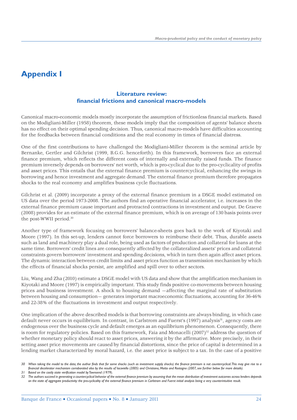# **Appendix I**

### **Literature review: fi nancial frictions and canonical macro-models**

Canonical macro-economic models mostly incorporate the assumption of frictionless financial markets. Based on the Modigliani-Miller (1958) theorem, these models imply that the composition of agents' balance sheets has no effect on their optimal spending decision. Thus, canonical macro-models have difficulties accounting for the feedbacks between financial conditions and the real economy in times of financial distress.

One of the first contributions to have challenged the Modigliani-Miller theorem is the seminal article by Bernanke, Gertler and Gilchrist (1999, B.G.G. henceforth). In this framework, borrowers face an external finance premium, which reflects the different costs of internally and externally raised funds. The finance premium inversely depends on borrowers' net worth, which is pro-cyclical due to the pro-cyclicality of profits and asset prices. This entails that the external finance premium is countercyclical, enhancing the swings in borrowing and hence investment and aggregate demand. The external finance premium therefore propagates shocks to the real economy and amplifies business cycle fluctuations.

Gilchrist et al. (2009) incorporate a proxy of the external finance premium in a DSGE model estimated on US data over the period 1973-2008. The authors find an operative financial accelerator, i.e. increases in the external finance premium cause important and protracted contractions in investment and output. De Graeve (2008) provides for an estimate of the external finance premium, which is on average of 130 basis points over the post-WWII period.30

Another type of framework focusing on borrowers' balance-sheets goes back to the work of Kiyotaki and Moore (1997). In this set-up, lenders cannot force borrowers to reimburse their debt. Thus, durable assets such as land and machinery play a dual role, being used as factors of production and collateral for loans at the same time. Borrowers' credit lines are consequently affected by the collateralized assets' prices and collateral constraints govern borrowers' investment and spending decisions, which in turn then again affect asset prices. The dynamic interaction between credit limits and asset prices function as transmission mechanism by which the effects of financial shocks persist, are amplified and spill over to other sectors.

Liu, Wang and Zha (2010) estimate a DSGE model with US data and show that the amplification mechanism in Kiyotaki and Moore (1997) is empirically important. This study finds positive co-movements between housing prices and business investment. A shock to housing demand —affecting the marginal rate of substitution between housing and consumption— generates important macroeconomic fluctuations, accounting for 36-46% and 22-38% of the fluctuations in investment and output respectively.

One implication of the above described models is that borrowing constraints are always binding, in which case default never occurs in equilibrium. In contrast, in Carlstrom and Fuerst's (1997) analysis<sup>31</sup>, agency costs are endogenous over the business cycle and default emerges as an equilibrium phenomenon. Consequently, there is room for regulatory policies. Based on this framework, Faia and Monacelli (2007)<sup>32</sup> address the question of whether monetary policy should react to asset prices, answering it by the affirmative. More precisely, in their setting asset price movements are caused by financial distortions, since the price of capital is determined in a lending market characterized by moral hazard, i.e. the asset price is subject to a tax. In the case of a positive

*31 Based on the costly state verification model by Townsend (1979).*

*<sup>30</sup> When taking the model to the data, the author finds that for some shocks (such as investment supply shocks) the finance premium is not countercyclical. This may give rise to a financial decelerator mechanism corroborated also by the results of Iacoviello (2005) and Christiano, Motto and Rostagno (2007, see further below for more details).*

*<sup>32</sup> The authors succeed in generating a countercyclical behavior of the external finance premium by assuming that the mean distribution of investment outcomes across lenders depends on the state of aggregate productivity: the pro-cyclicality of the external finance premium in Carlstrom and Fuerst initial analysis being a very counterintuitive result.*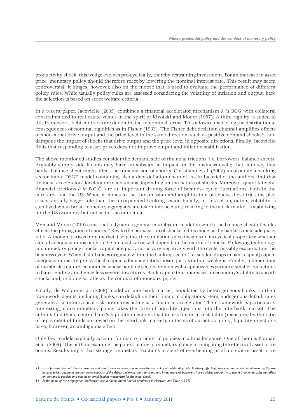productivity shock, this wedge evolves pro-cyclically, thereby restraining investment. For an increase in asset price, monetary policy should therefore react by lowering the nominal interest rate. This result may seem controversial; it hinges, however, also on the metric that is used to evaluate the performance of different policy rules. While usually policy rules are assessed considering the volatility of inflation and output, here the selection is based on strict welfare criteria.

In a recent paper, Iacoviello (2005) combines a financial accelerator mechanism *à la* BGG with collateral constraints tied to real estate values in the spirit of Kiyotaki and Moore (1997). A third rigidity is added to this framework, debt contracts are denominated in nominal terms. This allows considering the distributional consequences of nominal rigidities as in Fisher (1933). The Fisher debt deflation channel amplifies effects of shocks that drive output and the price level in the same direction, such as positive demand shocks<sup>33</sup>, and dampens the impact of shocks that drive output and the price level in opposite directions. Finally, Iacoviello finds that responding to asset prices does not improve output and inflation stabilization.

The above mentioned studies consider the demand side of financial frictions, i.e. borrowers' balance sheets. Arguably supply side factors may have an substantial impact on the business cycle; that is to say that banks' balance sheet might affect the transmission of shocks. Christiano et al. (2007) incorporate a banking sector into a DSGE model containing also a debt-deflation channel. As in Iacoviello, the authors find that financial accelerator/decelerator mechanisms depending on the nature of shocks. Moreover, quantitatively, financial frictions *à la* B.G.G. are an important driving force of business cycle fluctuations, both in the euro area and the US. When it comes to the transmission and amplification of shocks these frictions play a substantially bigger role than the incorporated banking sector. Finally, in this set-up, output volatility is stabilized when broad monetary aggregates are taken into account; reacting to the stock market is stabilizing for the US economy but not so for the euro area.

Meh and Moran (2010) construct a dynamic general equilibrium model in which the balance sheet of banks affects the propagation of shocks.34 Key to the propagation of shocks in this model is the banks' capital adequacy ratio. Although it arises from market discipline, the simulations give insights on its cyclical properties: whether capital adequacy ratios ought to be pro-cyclical or will depend on the nature of shocks. Following technology and monetary policy shocks, capital adequacy ratios vary negatively with the cycle, possibly exacerbating the business cycle. When disturbances originate within the banking sector (i.e. sudden drops in bank capital) capital adequacy ratios are pro-cyclical: capital adequacy ratios loosen just as output weakens. Finally, independent of the shock's nature, economies whose banking sectors remain well-capitalized experience smaller reductions in bank lending and hence less severe downturns. Bank capital thus increases an economy's ability to absorb shocks and, in doing so, affects the conduct of monetary policy.

Finally, de Walque et al. (2008) model an interbank market, populated by heterogeneous banks. In their framework, agents, including banks, can default on their financial obligations. Here, endogenous default rates generate a countercyclical risk premiums acting as a financial accelerator. Their framework is particularly interesting, since monetary policy takes the form of liquidity injections into the interbank market. The authors find that a central bank's liquidity injections lead to less financial instability (measured by the ratio of repayment of funds borrowed on the interbank market); in terms of output volatility, liquidity injections have, however, an ambiguous effect.

Only few models explicitly account for macro-prudential policies in a broader sense. One of them is Kannan et al. (2009). The authors examine the potential role of monetary policy in mitigating the effects of asset price booms. Results imply that stronger monetary reactions to signs of overheating or of a credit or asset price

<sup>33</sup> For a positive demand shock, consumer and asset prices increase. This reduces the real value of outstanding debt, positively affecting borrowers' net worth. Simultaneously, the rise in asset prices augments the borrowing capacity of the debtors, allowing them to spend and invest more. As borrowers have a higher propensity to spend than lenders, the net effect *on demand is positive, and acts as an amplification mechanism for the initial shock.*

*<sup>34</sup> At the heart of the propagation mechanism lays a double moral hazard problem* à la *Holstrom and Tirole (1997).*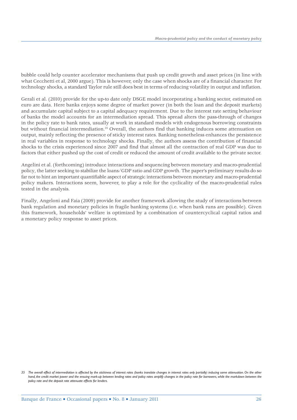bubble could help counter accelerator mechanisms that push up credit growth and asset prices (in line with what Cecchetti et al, 2000 argue). This is however, only the case when shocks are of a financial character. For technology shocks, a standard Taylor rule still does best in terms of reducing volatility in output and inflation.

Gerali et al. (2010) provide for the up-to date only DSGE model incorporating a banking sector, estimated on euro are data. Here banks enjoys some degree of market power (in both the loan and the deposit markets) and accumulate capital subject to a capital adequacy requirement. Due to the interest rate setting behaviour of banks the model accounts for an intermediation spread. This spread alters the pass-through of changes in the policy rate to bank rates, usually at work in standard models with endogenous borrowing constraints but without financial intermediation.35 Overall, the authors find that banking induces some attenuation on output, mainly reflecting the presence of sticky interest rates. Banking nonetheless enhances the persistence in real variables in response to technology shocks. Finally, the authors assess the contribution of financial shocks to the crisis experienced since 2007 and find that almost all the contraction of real GDP was due to factors that either pushed up the cost of credit or reduced the amount of credit available to the private sector.

Angelini et al. (forthcoming) introduce interactions and sequencing between monetary and macro-prudential policy, the latter seeking to stabilize the loans/GDP ratio and GDP growth. The paper's preliminary results do so far not to hint an important quantifiable aspect of strategic interactions between monetary and macro-prudential policy makers. Interactions seem, however, to play a role for the cyclicality of the macro-prudential rules tested in the analysis.

Finally, Angeloni and Faia (2009) provide for another framework allowing the study of interactions between bank regulation and monetary policies in fragile banking systems (i.e. when bank runs are possible). Given this framework, households' welfare is optimized by a combination of countercyclical capital ratios and a monetary policy response to asset prices.

<sup>35</sup> The overall effect of intermediation is affected by the stickiness of interest rates (banks translate changes in interest rates only partially) inducing some attenuation. On the other hand, the credit market power and the ensuing mark-up between lending rates and policy rates amplify changes in the policy rate for borrowers, while the markdown between the *policy rate and the deposit rate attenuate effects for lenders.*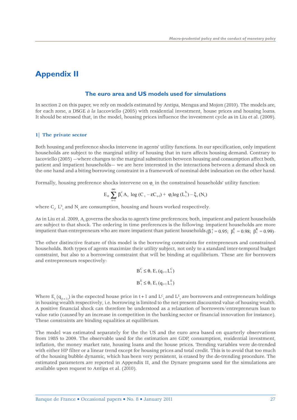# **Appendix II**

#### **The euro area and US models used for simulations**

In section 2 on this paper, we rely on models estimated by Antipa, Mengus and Mojon (2010). The models are, for each zone, a DSGE *à la* Iaccoviello (2005) with residential investment, house prices and housing loans. It should be stressed that, in the model, housing prices influence the investment cycle as in Liu et al. (2009).

#### **1| The private sector**

Both housing and preference shocks intervene in agents' utility functions. In our specification, only impatient households are subject to the marginal utility of housing that in turn affects housing demand. Contrary to Iacoviello (2005) —where changes to the marginal substitution between housing and consumption affect both, patient and impatient households— we are here interested in the interactions between a demand shock on the one hand and a biting borrowing constraint in a framework of nominal debt indexation on the other hand.

Formally, housing preference shocks intervene on  $\varphi_t$  in the constrained households' utility function:

$$
E_0 \, \sum_{t=1}^\infty \, \beta_t^c \, A_t \, \log \, (C_{\,t} - \epsilon C_{\,t\text{-}1}) + \, \phi_t \log \, (L_t^{\,h}) - \xi_t \, (N_t)
$$

where  $C_t$ ,  $L_t^h$  and  $N_t$  are consumption, housing and hours worked respectively.

As in Liu et al. 2009, A<sub>t</sub> governs the shocks to agent's time preferences; both, impatient and patient households are subject to that shock. The ordering in time preferences is the following: impatient households are more impatient than entrepreneurs who are more impatient than patient households (β<sup>ε</sup> = 0.95; β<sup>E</sup> = 0.98; β<sup>E</sup> = 0.99).

The other distinctive feature of this model is the borrowing constraints for entrepreneurs and constrained households. Both types of agents maximize their utility subject, not only to a standard inter-temporal budget constraint, but also to a borrowing constraint that will be binding at equilibrium. These are for borrowers and entrepreneurs respectively:

$$
B_t^C \leq \theta_t E_t (q_{t+1} L_t^C)
$$
  

$$
B_t^E \leq \theta_t E_t (q_{t+1} L_t^E)
$$

Where  $E_t$  ( $q_{(t+1)}$ ) is the expected house price in t+1 and  $L_t^c$  and  $L_t^E$  are borrowers and entrepreneurs holdings in housing wealth respectively, i.e. borrowing is limited to the net present discounted value of housing wealth. A positive financial shock can therefore be understood as a relaxation of borrowers/entrepreneurs loan to value ratio (caused by an increase in competition in the banking sector or financial innovation for instance). These constraints are binding equalities at equilibrium.

The model was estimated separately for the the US and the euro area based on quarterly observations from 1985 to 2009. The observable used for the estimation are GDP, consumption, residential investment, inflation, the money market rate, housing loans and the house prices. Trending variables were de-trended with either HP filter or a linear trend except for housing prices and total credit. This is to avoid that too much of the housing bubble dynamic, which has been very persistent, is erased by the de-trending procedure. The estimated parameters are reported in Appendix II, and the Dynare programs used for the simulations are available upon request to Antipa et al. (2010).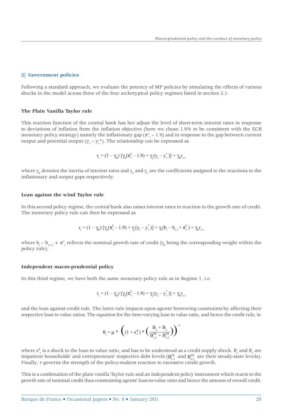#### **2| Government policies**

Following a standard approach, we evaluate the potency of MP policies by simulating the effects of various shocks in the model across three of the four archetypical policy regimes listed in section 2.1:

#### **The Plain Vanilla Taylor rule**

This reaction function of the central bank has her adjust the level of short-term interest rates in response to deviations of inflation from the inflation objective (here we chose 1.9% to be consistent with the ECB monetary policy strategy) namely the inflationary gap ( $\pi^c_{t}$  – 1.9) and in response to the gap between current output and potential output ( $y_t$  –  $y_t^*$ ). The relationship can be expressed as

$$
r_{_{t}} = (1 - \gamma_{_{R}}) [\gamma_{_{\pi}}(\pi_{_{t}}^{^{C}} - 1.9) + \gamma_{_{y}}(y_{_{t}} - y_{_{t}}^{*})] + \gamma_{_{R}}r_{_{t-1}}
$$

where  $\gamma_R$  denotes the inertia of interest rates and  $\gamma_\pi$  and  $\gamma_y$  are the coefficients assigned to the reactions to the inflationary and output gaps respectively.

#### **Lean against the wind Taylor rule**

In this second policy regime, the central bank also raises interest rates in reaction to the growth rate of credit. The monetary policy rule can then be expressed as

$$
r_{t} = (1 - \gamma_{R}) \left[ \gamma_{\pi}(\pi_{t}^{C} - 1.9) + \gamma_{y}(y_{t} - y_{t}^{*}) \right] + \gamma_{b}(b_{t} - b_{t-1} + \pi_{t}^{C}) + \gamma_{R}r_{t-1}
$$

where  $b_t - b_{t-1} + \pi^c$  reflects the nominal growth rate of credit  $(\gamma_b$  being the corresponding weight within the policy rule).

#### **Independent macro-prudential policy**

In this third regime, we have both the same monetary policy rule as in Regime 1, i.e.

$$
r_{\mathrm{t}}\!=\!\left(1-\gamma_{\mathrm{R}}\right)\left[\gamma_{\mathrm{r}}(\pi_{\mathrm{t}}^{\mathrm{C}}\!-\!1.9)+\gamma_{\mathrm{y}}(y_{\mathrm{t}}\!-\!y_{\mathrm{t}}^*)\right]+\gamma_{\mathrm{R}}r_{\mathrm{t}\text{-1}}
$$

and the lean against credit rule. The latter rule impacts upon agents' borrowing constraints by affecting their respective loan to value ratios. The equation for the time-varying loan to value ratio, and hence the credit rule, is:

$$
\theta_t\!=\!\mu*\,\left(\big(1+\epsilon_t^\theta\big)*\Big(\frac{B_c+B_e}{B_{c\text{-}1}^\mathrm{SS}+B_{e\text{-}1}^\mathrm{SS}}\Big)\right)^\tau
$$

where  $\varepsilon^0_{\;\rm t}$  is a shock to the loan to value ratio, and has to be understood as a credit supply shock.  ${\tt B_c}$  and  ${\tt B_e}$  are impatient households' and entrepreneurs' respective debt levels ( $B_{c-1}^{SS}$  and  $B_{e-1}^{SS}$  are their steady-state levels). Finally,  $\tau$  governs the strength of the policy-makers reaction to excessive credit growth.

This is a combination of the plain vanilla Taylor rule and an independent policy instrument which reacts to the growth rate of nominal credit thus constraining agents' loan-to-value ratio and hence the amount of overall credit.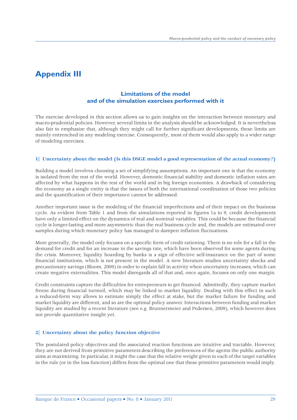# **Appendix III**

### **Limitations of the model and of the simulation exercises performed with it**

The exercise developed in this section allows us to gain insights on the interaction between monetary and macro-prudential policies. However, several limits in the analysis should be acknowledged. It is nevertheless also fair to emphasize that, although they might call for further significant developments, these limits are mainly entrenched in any modeling exercise. Consequently, most of them would also apply to a wider range of modeling exercises.

#### **1| Uncertainty about the model (Is this DSGE model a good representation of the actual economy?)**

Building a model involves choosing a set of simplifying assumptions. An important one is that the economy is isolated from the rest of the world. However, domestic financial stability and domestic inflation rates are affected by what happens in the rest of the world and in big foreign economies. A drawback of considering the economy as a single entity is that the issues of both the international coordination of those two policies and the quantification of their importance cannot be addressed.

Another important issue is the modeling of the financial imperfections and of their impact on the business cycle. As evident from Table 1 and from the simulations reported in figures 1a to 9, credit developments have only a limited effect on the dynamics of real and nominal variables. This could be because the financial cycle is longer-lasting and more asymmetric than the real business cycle and, the models are estimated over samples during which monetary policy has managed to dampen inflation fluctuations.

More generally, the model only focuses on a specific form of credit rationing. There is no role for a fall in the demand for credit and for an increase in the savings rate, which have been observed for some agents during the crisis. Moreover, liquidity hoarding by banks is a sign of effective self-insurance on the part of some financial institutions, which is not present in the model. A new literature studies uncertainty shocks and precautionary savings (Bloom, 2009) in order to explain fall in activity when uncertainty increases, which can create negative externalities. This model disregards all of that and, once again, focuses on only one margin.

Credit constraints capture the difficulties for entrepreneurs to get financed. Admittedly, they capture market freeze during financial turmoil, which may be linked to market liquidity. Dealing with this effect in such a reduced-form way allows to estimate simply the effect at stake, but the market failure for funding and market liquidity are different, and so are the optimal policy answer. Interactions between funding and market liquidity are studied by a recent literature (see e.g. Brunnermeier and Pedersen, 2009), which however does not provide quantitative insight yet.

#### **2| Uncertainty about the policy function objective**

The postulated policy objectives and the associated reaction functions are intuitive and tractable. However, they are not derived from primitive parameters describing the preferences of the agents the public authority aims at maximizing. In particular, it might the case that the relative weight given to each of the target variables in the rule (or in the loss function) differs from the optimal one that these primitive parameters would imply.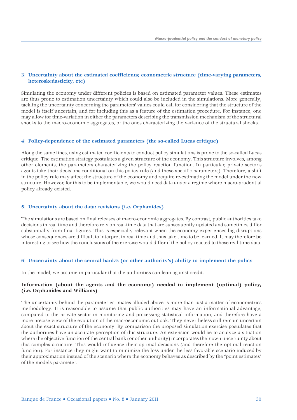#### **3| Uncertainty about the estimated coefficients; econometric structure (time-varying parameters, heteroskedasticity, etc)**

Simulating the economy under different policies is based on estimated parameter values. These estimates are thus prone to estimation uncertainty which could also be included in the simulations. More generally, tackling the uncertainty concerning the parameters' values could call for considering that the structure of the model is itself uncertain, and for including this as a feature of the estimation procedure. For instance, one may allow for time-variation in either the parameters describing the transmission mechanism of the structural shocks to the macro-economic aggregates, or the ones characterizing the variance of the structural shocks.

#### **4| Policy-dependence of the estimated parameters (the so-called Lucas critique)**

Along the same lines, using estimated coefficients to conduct policy simulations is prone to the so-called Lucas critique. The estimation strategy postulates a given structure of the economy. This structure involves, among other elements, the parameters characterizing the policy reaction function. In particular, private sector's agents take their decisions conditional on this policy rule (and these specific parameters). Therefore, a shift in the policy rule may affect the structure of the economy and require re-estimating the model under the new structure. However, for this to be implementable, we would need data under a regime where macro-prudential policy already existed.

#### **5| Uncertainty about the data: revisions (i.e. Orphanides)**

The simulations are based on final releases of macro-economic aggregates. By contrast, public authorities take decisions in real time and therefore rely on real-time data that are subsequently updated and sometimes differ substantially from final figures. This is especially relevant when the economy experiences big disruptions whose consequences are difficult to interpret in real time and thus take time to be learned. It may therefore be interesting to see how the conclusions of the exercise would differ if the policy reacted to these real-time data.

#### **6| Uncertainty about the central bank's (or other authority's) ability to implement the policy**

In the model, we assume in particular that the authorities can lean against credit.

#### **Information (about the agents and the economy) needed to implement (optimal) policy, (i.e. Orphanides and Williams)**

The uncertainty behind the parameter estimates alluded above is more than just a matter of econometrics methodology. It is reasonable to assume that public authorities may have an informational advantage, compared to the private sector in monitoring and processing statistical information, and therefore have a more precise view of the evolution of the macroeconomic outlook. They nevertheless still remain uncertain about the exact structure of the economy. By comparison the proposed simulation exercise postulates that the authorities have an accurate perception of this structure. An extension would be to analyze a situation where the objective function of the central bank (or other authority) incorporates their own uncertainty about this complex structure. This would influence their optimal decisions (and therefore the optimal reaction function). For instance they might want to minimize the loss under the less favorable scenario induced by their approximation instead of the scenario where the economy behaves as described by the "point estimates" of the models parameter.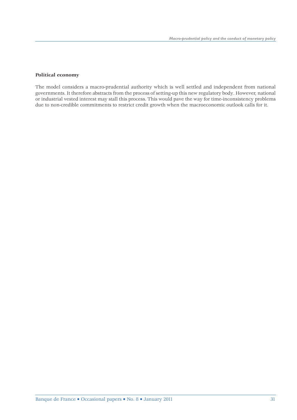#### **Political economy**

The model considers a macro-prudential authority which is well settled and independent from national governments. It therefore abstracts from the process of setting-up this new regulatory body. However, national or industrial vested interest may stall this process. This would pave the way for time-inconsistency problems due to non-credible commitments to restrict credit growth when the macroeconomic outlook calls for it.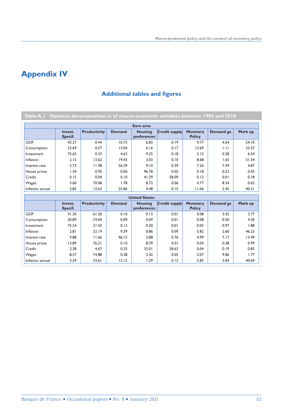# **Appendix IV**

# **Additional tables and figures**

|                  |                    |                     |               | Euro area                     |                      |                                  |           |         |
|------------------|--------------------|---------------------|---------------|-------------------------------|----------------------|----------------------------------|-----------|---------|
|                  | Invest.<br>Specif. | <b>Productivity</b> | <b>Demand</b> | <b>Housing</b><br>preferences | <b>Credit supply</b> | <b>Monetary</b><br><b>Policy</b> | Demand gx | Mark up |
| <b>GDP</b>       | 43.27              | 0.44                | 10.75         | 6.83                          | 0.19                 | 9.77                             | 4.64      | 24.10   |
| Consumption      | 33.69              | 0.57                | 13.04         | 6.16                          | 0.17                 | 12.69                            | 1.11      | 32.57   |
| Investment       | 75.65              | 0.33                | 4.63          | 9.25                          | 0.18                 | 3.15                             | 0.28      | 6.54    |
| Inflation        | 2.15               | 13.62               | 19.43         | 3.03                          | 0.10                 | 8.68                             | 1.65      | 51.34   |
| Interest rate    | 2.72               | 11.98               | 56.29         | 9.10                          | 0.39                 | 7.26                             | 7.39      | 4.87    |
| House prices     | 1.34               | 0.95                | 0.06          | 96.78                         | 0.05                 | 0.18                             | 0.23      | 0.42    |
| Credit           | 0.15               | 0.04                | 0.10          | 41.29                         | 58.09                | 0.12                             | 0.01      | 0.18    |
| Wages            | 5.60               | 70.08               | 1.78          | 8.72                          | 0.06                 | 4.77                             | 8.34      | 0.65    |
| Inflation annual | 2.85               | 12.63               | 25.86         | 4.48                          | 0.15                 | 11.06                            | 2.45      | 40.51   |
|                  |                    |                     |               | <b>United States</b>          |                      |                                  |           |         |
|                  | Invest.<br>Specif. | <b>Productivity</b> | <b>Demand</b> | <b>Housing</b><br>preferences | <b>Credit supply</b> | <b>Monetary</b><br><b>Policy</b> | Demand gx | Mark up |
| <b>GDP</b>       | 31.30              | 61.20               | 0.10          | 0.13                          | 0.01                 | 0.08                             | 3.42      | 3.77    |
| Consumption      | 20.89              | 74.04               | 0.09          | 0.09                          | 0.01                 | 0.08                             | 0.50      | 4.30    |
| Investment       | 75.24              | 21.43               | 0.12          | 0.30                          | 0.01                 | 0.05                             | 0.97      | 1.88    |
| Inflation        | 2.81               | 32.19               | 9.39          | 0.86                          | 0.09                 | 5.82                             | 2.60      | 46.23   |
| Interest rate    | 9.88               | 11.66               | 46.15         | 5.88                          | 0.76                 | 4.99                             | 7.17      | 13.49   |
| House prices     | 13.89              | 76.21               | 0.10          | 8.39                          | 0.01                 | 0.04                             | 0.38      | 0.99    |
| Credit           | 2.38               | 4.67                | 0.25          | 33.01                         | 58.63                | 0.04                             | 0.19      | 0.83    |
| Wages            | 8.57               | 74.88               | 0.38          | 2.42                          | 0.05                 | 2.07                             | 9.86      | 1.77    |
| Inflation annual | 3.29               | 33.61               | 12.12         | 1.29                          | 0.12                 | 5.85                             | 3.04      | 40.69   |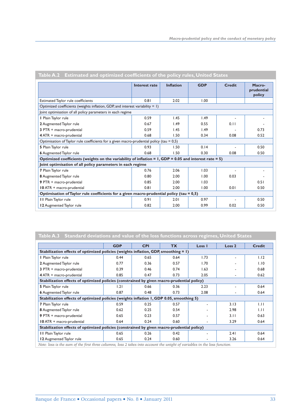|                                                                                                            | Interest rate | <b>Inflation</b> | <b>GDP</b> | <b>Credit</b> | Macro-<br>prudential<br>policy |  |
|------------------------------------------------------------------------------------------------------------|---------------|------------------|------------|---------------|--------------------------------|--|
| Estimated Taylor rule coefficients                                                                         | 0.81          | 2.02             | 1.00       |               |                                |  |
| Optimized coefficients (weights inflation, GDP, and interest variability $= 1$ )                           |               |                  |            |               |                                |  |
| Joint optimisation of all policy parameters in each regime                                                 |               |                  |            |               |                                |  |
| I Plain Taylor rule                                                                                        | 0.59          | 1.45             | 1.49       |               |                                |  |
| 2 Augmented Taylor rule                                                                                    | 0.67          | 1.49             | 0.55       | 0.11          |                                |  |
| 3 PTR + macro-prudential                                                                                   | 0.59          | 1.45             | 1.49       |               | 0.73                           |  |
| 4 ATR + macro-prudential                                                                                   | 0.68          | 1.50             | 0.34       | 0.08          | 0.52                           |  |
| Optimisation of Taylor rule coefficients for a given macro-prudential policy (tau $= 0.5$ )                |               |                  |            |               |                                |  |
| 5 Plain Taylor rule                                                                                        | 0.93          | 1.50             | 0.14       |               | 0.50                           |  |
| <b>6</b> Augmented Taylor rule                                                                             | 0.68          | 1.50             | 0.30       | 0.08          | 0.50                           |  |
| Optimized coefficients (weights on the variability of inflation = $1, GDP = 0.05$ and interest rate = $5)$ |               |                  |            |               |                                |  |
| Joint optimisation of all policy parameters in each regime                                                 |               |                  |            |               |                                |  |
| 7 Plain Taylor rule                                                                                        | 0.76          | 2.06             | 1.03       |               |                                |  |
| 8 Augmented Taylor rule                                                                                    | 0.80          | 2.00             | 1.00       | 0.03          |                                |  |
| 9 PTR + macro-prudential                                                                                   | 0.85          | 2.00             | 1.03       |               | 0.51                           |  |
| 10 ATR + macro-prudential                                                                                  | 0.81          | 2.00             | 1.00       | 0.01          | 0.50                           |  |
| Optimisation of Taylor rule coefficients for a given macro-prudential policy (tau $= 0.5$ )                |               |                  |            |               |                                |  |
| II Plain Taylor rule                                                                                       | 0.91          | 2.01             | 0.97       |               | 0.50                           |  |
| 12 Augmented Taylor rule                                                                                   | 0.82          | 2.00             | 0.99       | 0.02          | 0.50                           |  |

Table A.2 Estimated and optimized coefficients of the policy rules, United States

|                                                                                            | <b>GDP</b> | <b>CPI</b> | <b>TX</b> | Loss I | Loss <sub>2</sub> | <b>Credit</b> |
|--------------------------------------------------------------------------------------------|------------|------------|-----------|--------|-------------------|---------------|
| Stabilization effects of optimized policies (weights inflation, GDP, smoothing = 1)        |            |            |           |        |                   |               |
| I Plain Taylor rule                                                                        | 0.44       | 0.65       | 0.64      | 1.73   |                   | 1.12          |
| 2 Augmented Taylor rule                                                                    | 0.77       | 0.36       | 0.57      | 1.70   |                   | 1.10          |
| 3 PTR + macro-prudential                                                                   | 0.39       | 0.46       | 0.74      | 1.63   |                   | 0.68          |
| 4 ATR + macro-prudential                                                                   | 0.85       | 0.47       | 0.73      | 2.05   |                   | 0.62          |
| Stabilization effects of optimized policies (constrained by given macro-prudential policy) |            |            |           |        |                   |               |
| 5 Plain Taylor rule                                                                        | 1.21       | 0.66       | 0.36      | 2.23   |                   | 0.64          |
| <b>6</b> Augmented Taylor rule                                                             | 0.87       | 0.48       | 0.73      | 2.08   |                   | 0.64          |
| Stabilization effects of optimized policies (weights inflation 1, GDP 0.05, smoothing 5)   |            |            |           |        |                   |               |
| 7 Plain Taylor rule                                                                        | 0.59       | 0.25       | 0.57      |        | 3.13              | 1.11          |
| 8 Augmented Taylor rule                                                                    | 0.62       | 0.25       | 0.54      |        | 2.98              | 1.11          |
| 9 PTR + macro-prudential                                                                   | 0.65       | 0.23       | 0.57      |        | 3.11              | 0.63          |
| 10 ATR + macro-prudential                                                                  | 0.64       | 0.24       | 0.60      |        | 3.29              | 0.64          |
| Stabilization effects of optimized policies (constrained by given macro-prudential policy) |            |            |           |        |                   |               |
| II Plain Taylor rule                                                                       | 0.65       | 0.26       | 0.42      |        | 2.41              | 0.64          |
| 12 Augmented Taylor rule                                                                   | 0.65       | 0.24       | 0.60      |        | 3.26              | 0.64          |

*Note: loss is the sum of the first three columns, loss 2 takes into account the weight of variables in the loss function.*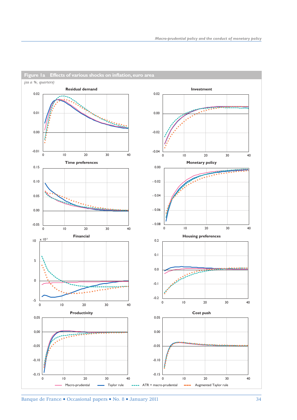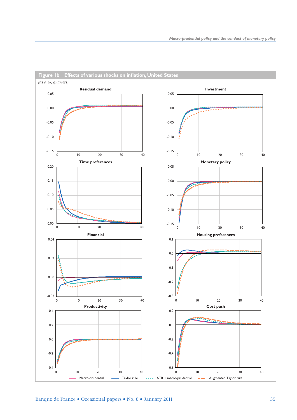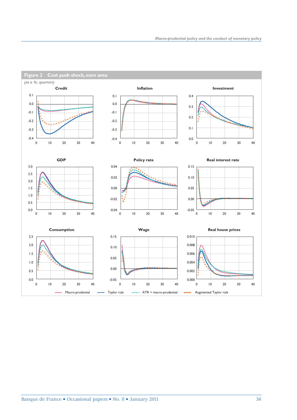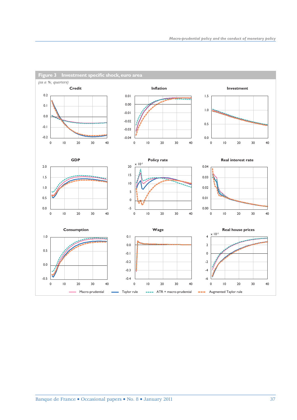

Banque de France • Occasional papers • No. 8 • January 2011 37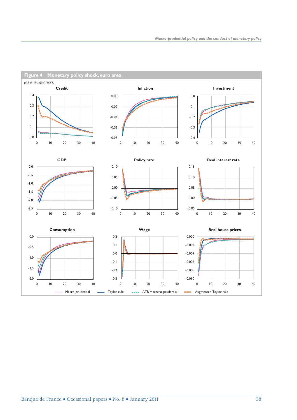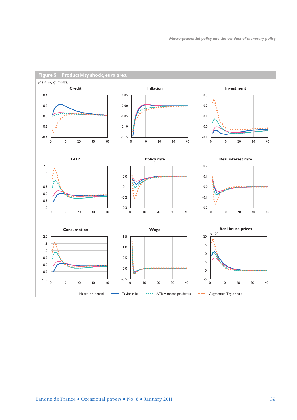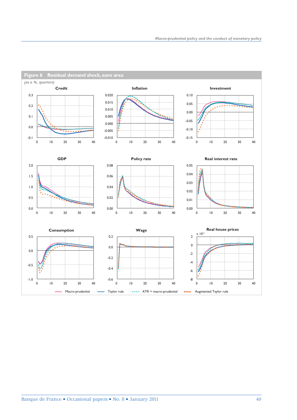

**Figure 6 Residual demand shock, euro area**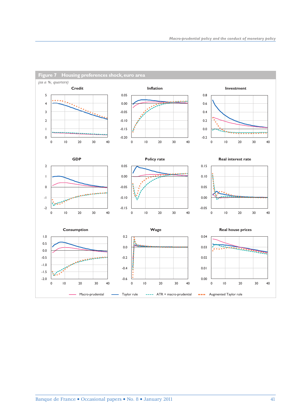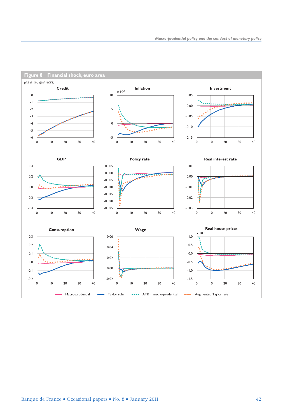